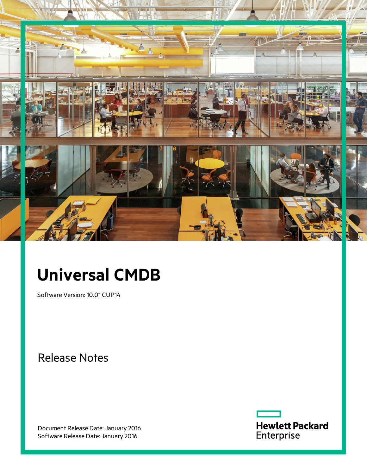

# **Universal CMDB**

Software Version: 10.01 CUP14

Release Notes

Document Release Date: January 2016 Software Release Date: January 2016

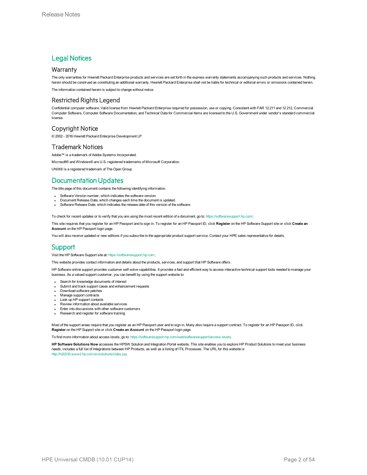### **Legal Notices**

#### **Warranty**

The only warranties for Hewlett Packard Enterprise products and services are set forth in the express warranty statements accompanying such products and services. Nothing herein should be construed as constituting an additional warranty. Hewlett Packard Enterprise shall not be liable for technical or editorial errors or omissions contained herein.

The information contained herein is subject to change without notice.

#### Restricted Rights Legend

Confidential computer software. Valid license from Hewlett Packard Enterprise required for possession, use or copying. Consistent with FAR 12.211 and 12.212, Commercial Computer Software, Computer Software Documentation, and Technical Data for Commercial Items are licensed to the U.S. Government under vendor's standard commercial license.

#### Copyright Notice

© 2002 - 2016 Hewlett Packard Enterprise Development LP

#### Trademark Notices

Adobe™ is a trademark of Adobe Systems Incorporated.

Microsoft® and Windows® are U.S. registered trademarks of Microsoft Corporation.

UNIX® is a registered trademark of The Open Group.

### Documentation Updates

The title page of this document contains the following identifying information:

- Software Version number, which indicates the software version.
- <sup>l</sup> Document Release Date, which changes each time the document is updated.
- Software Release Date, which indicates the release date of this version of the software.

To check for recent updates or to verify that you are using the most recent edition of a document, go to: <https://softwaresupport.hp.com/>.

This site requires that you register for an HP Passport and to sign in. To register for an HP Passport ID, click **Register** on the HP Software Support site or click **Create an Account** on the HP Passport login page.

You will also receive updated or new editions if you subscribe to the appropriate product support service. Contact your HPE sales representative for details.

#### **Support**

Visit the HP Software Support site at: [https://softwaresupport.hp.com](https://softwaresupport.hp.com/).

This website provides contact information and details about the products, services, and support that HP Software offers.

HP Software online support provides customer self-solve capabilities. It provides a fast and efficient way to access interactive technical support tools needed to manage your business. As a valued support customer, you can benefit by using the support website to:

- Search for knowledge documents of interest
- Submit and track support cases and enhancement requests
- Download software patches Manage support contracts
- Look up HP support contacts
- Review information about available services
- Enter into discussions with other software customers
- Research and register for software training

Most of the support areas require that you register as an HP Passport user and to sign in. Many also require a support contract. To register for an HP Passport ID, click **Register** on the HP Support site or click **Create an Account** on the HP Passport login page.

To find more information about access levels, go to: [https://softwaresupport.hp.com/web/softwaresupport/access-levels.](https://softwaresupport.hp.com/web/softwaresupport/access-levels)

**HP Software Solutions Now** accesses the HPSW Solution and Integration Portal website. This site enables you to explore HP Product Solutions to meet your business needs, includes a full list of Integrations between HP Products, as well as a listing of ITIL Processes. The URL for this website is [http://h20230.www2.hp.com/sc/solutions/index.jsp.](http://h20230.www2.hp.com/sc/solutions/index.jsp)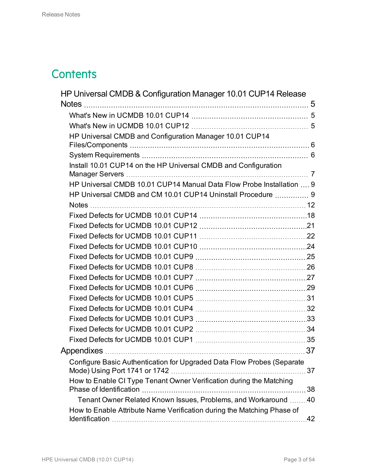## **Contents**

| HP Universal CMDB & Configuration Manager 10.01 CUP14 Release                                  |    |
|------------------------------------------------------------------------------------------------|----|
| <b>Notes</b>                                                                                   |    |
|                                                                                                |    |
|                                                                                                |    |
| HP Universal CMDB and Configuration Manager 10.01 CUP14                                        |    |
|                                                                                                |    |
|                                                                                                |    |
| Install 10.01 CUP14 on the HP Universal CMDB and Configuration                                 |    |
|                                                                                                |    |
| HP Universal CMDB 10.01 CUP14 Manual Data Flow Probe Installation  9                           |    |
| HP Universal CMDB and CM 10.01 CUP14 Uninstall Procedure  9                                    |    |
|                                                                                                |    |
|                                                                                                |    |
|                                                                                                |    |
|                                                                                                |    |
|                                                                                                |    |
|                                                                                                |    |
|                                                                                                |    |
|                                                                                                |    |
|                                                                                                |    |
|                                                                                                |    |
|                                                                                                |    |
|                                                                                                |    |
|                                                                                                |    |
|                                                                                                |    |
|                                                                                                |    |
| Configure Basic Authentication for Upgraded Data Flow Probes (Separate                         | 37 |
| How to Enable CI Type Tenant Owner Verification during the Matching<br>Phase of Identification | 38 |
| Tenant Owner Related Known Issues, Problems, and Workaround 40                                 |    |
| How to Enable Attribute Name Verification during the Matching Phase of                         |    |
|                                                                                                |    |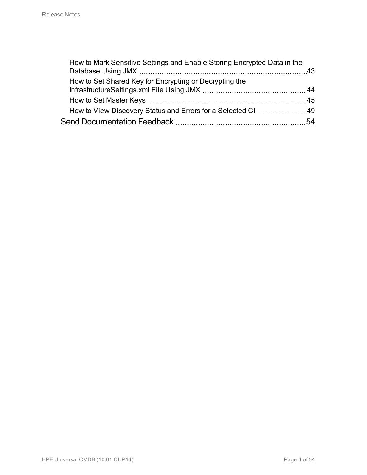| How to Mark Sensitive Settings and Enable Storing Encrypted Data in the |  |
|-------------------------------------------------------------------------|--|
| How to Set Shared Key for Encrypting or Decrypting the                  |  |
|                                                                         |  |
| How to View Discovery Status and Errors for a Selected CI 49            |  |
|                                                                         |  |
|                                                                         |  |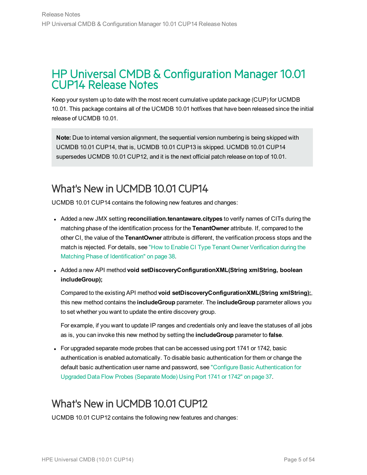### <span id="page-4-0"></span>HP Universal CMDB & Configuration Manager 10.01 CUP14 Release Notes

Keep your system up to date with the most recent cumulative update package (CUP) for UCMDB 10.01. This package contains all of the UCMDB 10.01 hotfixes that have been released since the initial release of UCMDB 10.01.

**Note:** Due to internal version alignment, the sequential version numbering is being skipped with UCMDB 10.01 CUP14, that is, UCMDB 10.01 CUP13 is skipped. UCMDB 10.01 CUP14 supersedes UCMDB 10.01 CUP12, and it is the next official patch release on top of 10.01.

### <span id="page-4-1"></span>What's New in UCMDB 10.01 CUP14

UCMDB 10.01 CUP14 contains the following new features and changes:

- <sup>l</sup> Added a new JMX setting **reconciliation.tenantaware.citypes** to verify names of CITs during the matching phase of the identification process for the **TenantOwner** attribute. If, compared to the other CI, the value of the **TenantOwner** attribute is different, the verification process stops and the match is rejected. For details, see "How to Enable CI Type Tenant Owner [Verification](#page-37-0) during the Matching Phase of [Identification"](#page-37-0) on page 38.
- <span id="page-4-3"></span><sup>l</sup> Added a new API method **void setDiscoveryConfigurationXML(String xmlString, boolean includeGroup);**

Compared to the existing API method **void setDiscoveryConfigurationXML(String xmlString);**, this new method contains the **includeGroup** parameter. The **includeGroup** parameter allows you to set whether you want to update the entire discovery group.

For example, if you want to update IP ranges and credentials only and leave the statuses of all jobs as is, you can invoke this new method by setting the **includeGroup** parameter to **false**.

• For upgraded separate mode probes that can be accessed using port 1741 or 1742, basic authentication is enabled automatically. To disable basic authentication for them or change the default basic authentication user name and password, see "Configure Basic [Authentication](#page-36-1) for Upgraded Data Flow Probes [\(Separate](#page-36-1) Mode) Using Port 1741 or 1742" on page 37.

## <span id="page-4-2"></span>What's New in UCMDB 10.01 CUP12

UCMDB 10.01 CUP12 contains the following new features and changes: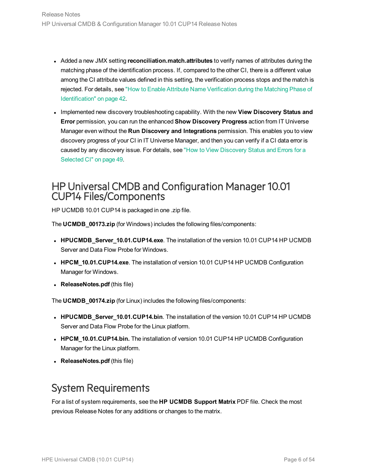- <sup>l</sup> Added a new JMX setting **reconciliation.match.attributes** to verify names of attributes during the matching phase of the identification process. If, compared to the other CI, there is a different value among the CI attribute values defined in this setting, the verification process stops and the match is rejected. For details, see "How to Enable Attribute Name [Verification](#page-41-0) during the Matching Phase of [Identification"](#page-41-0) on page 42.
- <sup>l</sup> Implemented new discovery troubleshooting capability. With the new **View Discovery Status and Error** permission, you can run the enhanced **Show Discovery Progress** action from IT Universe Manager even without the **Run Discovery and Integrations** permission. This enables you to view discovery progress of your CI in IT Universe Manager, and then you can verify if a CI data error is caused by any discovery issue. For details, see "How to View [Discovery](#page-48-0) Status and Errors for a [Selected](#page-48-0) CI" on page 49.

### <span id="page-5-0"></span>HP Universal CMDB and Configuration Manager 10.01 CUP14 Files/Components

HP UCMDB 10.01 CUP14 is packaged in one .zip file.

The **UCMDB\_00173.zip** (for Windows) includes the following files/components:

- **HPUCMDB\_Server\_10.01.CUP14.exe**. The installation of the version 10.01 CUP14 HP UCMDB Server and Data Flow Probe for Windows.
- **HPCM\_10.01.CUP14.exe**. The installation of version 10.01 CUP14 HP UCMDB Configuration Manager for Windows.
- **ReleaseNotes.pdf** (this file)

The **UCMDB\_00174.zip** (for Linux) includes the following files/components:

- **HPUCMDB\_Server\_10.01.CUP14.bin**. The installation of the version 10.01 CUP14 HP UCMDB Server and Data Flow Probe for the Linux platform.
- **HPCM\_10.01.CUP14.bin.** The installation of version 10.01 CUP14 HP UCMDB Configuration Manager for the Linux platform.
- **ReleaseNotes.pdf** (this file)

### <span id="page-5-1"></span>System Requirements

For a list of system requirements, see the **HP UCMDB Support Matrix** PDF file. Check the most previous Release Notes for any additions or changes to the matrix.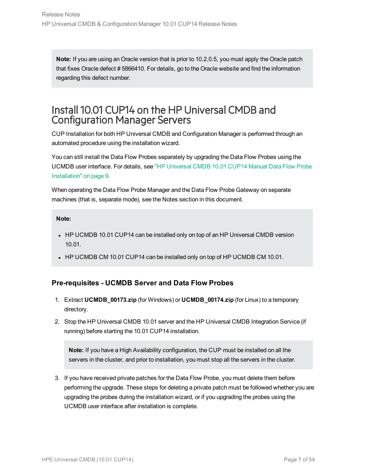**Note:** If you are using an Oracle version that is prior to 10.2.0.5, you must apply the Oracle patch that fixes Oracle defect # 5866410. For details, go to the Oracle website and find the information regarding this defect number.

### <span id="page-6-0"></span>Install 10.01 CUP14 on the HP Universal CMDB and Configuration Manager Servers

CUP Installation for both HP Universal CMDB and Configuration Manager is performed through an automated procedure using the installation wizard.

You can still install the Data Flow Probes separately by upgrading the Data Flow Probes using the UCMDB user interface. For details, see "HP [Universal](#page-8-0) CMDB 10.01 CUP14 Manual Data Flow Probe [Installation"](#page-8-0) on page 9.

When operating the Data Flow Probe Manager and the Data Flow Probe Gateway on separate machines (that is, separate mode), see the Notes section in this document.

#### **Note:**

- HP UCMDB 10.01 CUP14 can be installed only on top of an HP Universal CMDB version 10.01.
- HP UCMDB CM 10.01 CUP14 can be installed only on top of HP UCMDB CM 10.01.

### <span id="page-6-1"></span>**Pre-requisites - UCMDB Server and Data Flow Probes**

- 1. Extract **UCMDB\_00173.zip** (for Windows) or **UCMDB\_00174.zip** (for Linux) to a temporary directory.
- 2. Stop the HP Universal CMDB 10.01 server and the HP Universal CMDB Integration Service (if running) before starting the 10.01 CUP14 installation.

**Note:** If you have a High Availability configuration, the CUP must be installed on all the servers in the cluster, and prior to installation, you must stop all the servers in the cluster.

3. If you have received private patches for the Data Flow Probe, you must delete them before performing the upgrade. These steps for deleting a private patch must be followed whether you are upgrading the probes during the installation wizard, or if you upgrading the probes using the UCMDB user interface after installation is complete.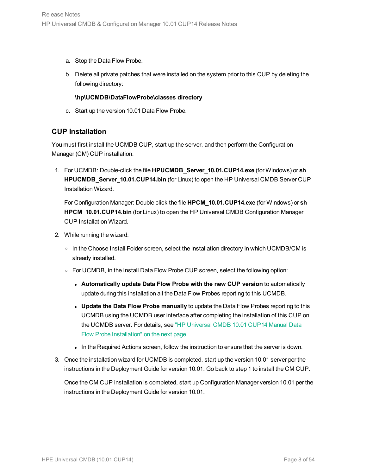- a. Stop the Data Flow Probe.
- b. Delete all private patches that were installed on the system prior to this CUP by deleting the following directory:

#### **\hp\UCMDB\DataFlowProbe\classes directory**

c. Start up the version 10.01 Data Flow Probe.

### **CUP Installation**

You must first install the UCMDB CUP, start up the server, and then perform the Configuration Manager (CM) CUP installation.

1. For UCMDB: Double-click the file **HPUCMDB\_Server\_10.01.CUP14.exe** (for Windows) or **sh HPUCMDB\_Server\_10.01.CUP14.bin** (for Linux) to open the HP Universal CMDB Server CUP Installation Wizard.

For Configuration Manager: Double click the file **HPCM\_10.01.CUP14.exe** (for Windows) or **sh HPCM 10.01.CUP14.bin** (for Linux) to open the HP Universal CMDB Configuration Manager CUP Installation Wizard.

- 2. While running the wizard:
	- $\circ$  In the Choose Install Folder screen, select the installation directory in which UCMDB/CM is already installed.
	- <sup>o</sup> For UCMDB, in the Install Data Flow Probe CUP screen, select the following option:
		- <sup>l</sup> **Automatically update Data Flow Probe with the new CUP version** to automatically update during this installation all the Data Flow Probes reporting to this UCMDB.
		- <sup>l</sup> **Update the Data Flow Probe manually** to update the Data Flow Probes reporting to this UCMDB using the UCMDB user interface after completing the installation of this CUP on the UCMDB server. For details, see "HP [Universal](#page-8-0) CMDB 10.01 CUP14 Manual Data Flow Probe [Installation"](#page-8-0) on the next page.
		- In the Required Actions screen, follow the instruction to ensure that the server is down.
- 3. Once the installation wizard for UCMDB is completed, start up the version 10.01 server per the instructions in the Deployment Guide for version 10.01. Go back to step 1 to install the CM CUP.

Once the CM CUP installation is completed, start up Configuration Manager version 10.01 per the instructions in the Deployment Guide for version 10.01.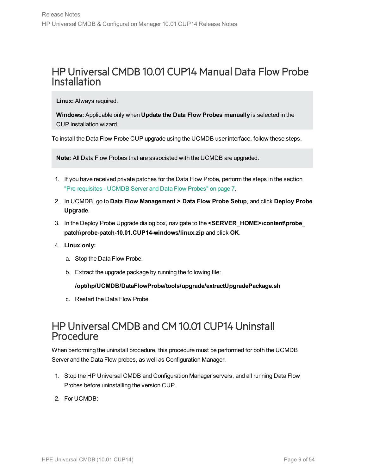### <span id="page-8-0"></span>HP Universal CMDB 10.01 CUP14 Manual Data Flow Probe Installation

**Linux:** Always required.

**Windows:** Applicable only when **Update the Data Flow Probes manually** is selected in the CUP installation wizard.

To install the Data Flow Probe CUP upgrade using the UCMDB user interface, follow these steps.

**Note:** All Data Flow Probes that are associated with the UCMDB are upgraded.

- 1. If you have received private patches for the Data Flow Probe, perform the steps in the section ["Pre-requisites](#page-6-1) - UCMDB Server and Data Flow Probes" on page 7.
- 2. In UCMDB, go to **Data Flow Management > Data Flow Probe Setup**, and click **Deploy Probe Upgrade**.
- 3. In the Deploy Probe Upgrade dialog box, navigate to the **<SERVER\_HOME>\content\probe\_ patch\probe-patch-10.01.CUP14-windows/linux.zip** and click **OK**.
- 4. **Linux only:**
	- a. Stop the Data Flow Probe.
	- b. Extract the upgrade package by running the following file:

#### **/opt/hp/UCMDB/DataFlowProbe/tools/upgrade/extractUpgradePackage.sh**

c. Restart the Data Flow Probe.

### <span id="page-8-1"></span>HP Universal CMDB and CM 10.01 CUP14 Uninstall Procedure

When performing the uninstall procedure, this procedure must be performed for both the UCMDB Server and the Data Flow probes, as well as Configuration Manager.

- 1. Stop the HP Universal CMDB and Configuration Manager servers, and all running Data Flow Probes before uninstalling the version CUP.
- 2. For UCMDB: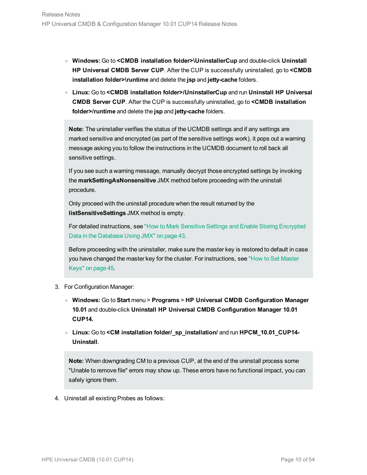- <sup>o</sup> **Windows:** Go to **<CMDB installation folder>\UninstallerCup** and double-click **Uninstall HP Universal CMDB Server CUP**. After the CUP is successfully uninstalled, go to **<CMDB installation folder>\runtime** and delete the **jsp** and **jetty-cache** folders.
- <sup>o</sup> **Linux:** Go to **<CMDB installation folder>/UninstallerCup** and run **Uninstall HP Universal CMDB Server CUP**. After the CUP is successfully uninstalled, go to **<CMDB installation folder>/runtime** and delete the **jsp** and **jetty-cache** folders.

**Note:** The uninstaller verifies the status of the UCMDB settings and if any settings are marked sensitive and encrypted (as part of the sensitive settings work), it pops out a warning message asking you to follow the instructions in the UCMDB document to roll back all sensitive settings.

If you see such a warning message, manually decrypt those encrypted settings by invoking the **markSettingAsNonsensitive** JMX method before proceeding with the uninstall procedure.

Only proceed with the uninstall procedure when the result returned by the **listSensitiveSettings** JMX method is empty.

For detailed instructions, see "How to Mark Sensitive Settings and Enable Storing [Encrypted](#page-42-0) Data in the [Database](#page-42-0) Using JMX" on page 43.

Before proceeding with the uninstaller, make sure the master key is restored to default in case you have changed the master key for the cluster. For instructions, see "How to Set [Master](#page-44-0) Keys" on [page 45.](#page-44-0)

- 3. For Configuration Manager:
	- <sup>o</sup> **Windows:** Go to **Start** menu > **Programs** > **HP Universal CMDB Configuration Manager 10.01** and double-click **Uninstall HP Universal CMDB Configuration Manager 10.01 CUP14.**
	- <sup>o</sup> **Linux:** Go to **<CM installation folder/\_sp\_installation/** and run **HPCM\_10.01\_CUP14- Uninstall**.

**Note:** When downgrading CM to a previous CUP, at the end of the uninstall process some "Unable to remove file" errors may show up. These errors have no functional impact, you can safely ignore them.

4. Uninstall all existing Probes as follows: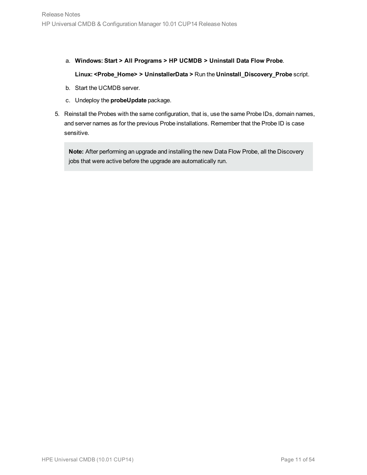- a. **Windows: Start > All Programs > HP UCMDB > Uninstall Data Flow Probe**. **Linux: <Probe\_Home> > UninstallerData >** Run the **Uninstall\_Discovery\_Probe** script.
- b. Start the UCMDB server.
- c. Undeploy the **probeUpdate** package.
- 5. Reinstall the Probes with the same configuration, that is, use the same Probe IDs, domain names, and server names as for the previous Probe installations. Remember that the Probe ID is case sensitive.

**Note:** After performing an upgrade and installing the new Data Flow Probe, all the Discovery jobs that were active before the upgrade are automatically run.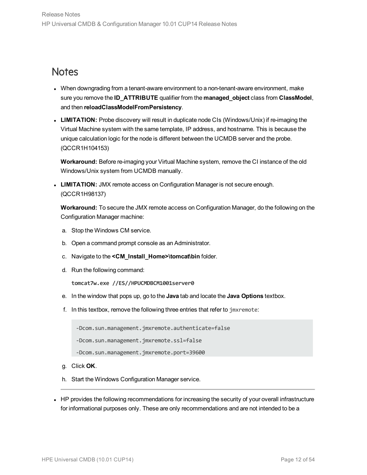### <span id="page-11-0"></span>**Notes**

- When downgrading from a tenant-aware environment to a non-tenant-aware environment, make sure you remove the **ID\_ATTRIBUTE** qualifier from the **managed\_object** class from **ClassModel**, and then **reloadClassModelFromPersistency**.
- <span id="page-11-1"></span>• LIMITATION: Probe discovery will result in duplicate node CIs (Windows/Unix) if re-imaging the Virtual Machine system with the same template, IP address, and hostname. This is because the unique calculation logic for the node is different between the UCMDB server and the probe. (QCCR1H104153)

**Workaround:** Before re-imaging your Virtual Machine system, remove the CI instance of the old Windows/Unix system from UCMDB manually.

**LIMITATION:** JMX remote access on Configuration Manager is not secure enough. (QCCR1H98137)

**Workaround:** To secure the JMX remote access on Configuration Manager, do the following on the Configuration Manager machine:

- a. Stop the Windows CM service.
- b. Open a command prompt console as an Administrator.
- c. Navigate to the **<CM\_Install\_Home>\tomcat\bin** folder.
- d. Run the following command:

**tomcat7w.exe //ES//HPUCMDBCM1001server0**

- e. In the window that pops up, go to the **Java** tab and locate the **Java Options** textbox.
- f. In this textbox, remove the following three entries that refer to jmxremote:

-Dcom.sun.management.jmxremote.authenticate=false

-Dcom.sun.management.jmxremote.ssl=false

```
-Dcom.sun.management.jmxremote.port=39600
```
- g. Click **OK**.
- h. Start the Windows Configuration Manager service.
- HP provides the following recommendations for increasing the security of your overall infrastructure for informational purposes only. These are only recommendations and are not intended to be a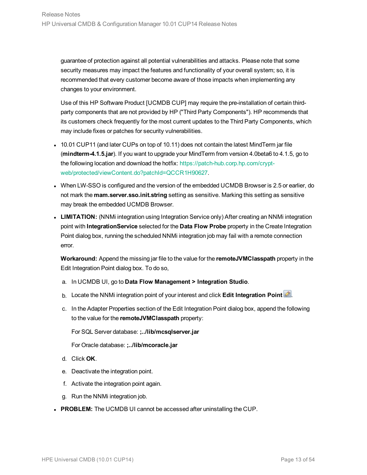guarantee of protection against all potential vulnerabilities and attacks. Please note that some security measures may impact the features and functionality of your overall system; so, it is recommended that every customer become aware of those impacts when implementing any changes to your environment.

Use of this HP Software Product [UCMDB CUP] may require the pre-installation of certain thirdparty components that are not provided by HP ("Third Party Components"). HP recommends that its customers check frequently for the most current updates to the Third Party Components, which may include fixes or patches for security vulnerabilities.

- 10.01 CUP11 (and later CUPs on top of 10.11) does not contain the latest MindTerm jar file (**mindterm-4.1.5.jar**). If you want to upgrade your MindTerm from version 4.0beta6 to 4.1.5, go to the following location and download the hotfix: [https://patch-hub.corp.hp.com/crypt](https://patch-hub.corp.hp.com/crypt-web/protected/viewContent.do?patchId=QCCR1H90627)[web/protected/viewContent.do?patchId=QCCR1H90627](https://patch-hub.corp.hp.com/crypt-web/protected/viewContent.do?patchId=QCCR1H90627).
- When LW-SSO is configured and the version of the embedded UCMDB Browser is 2.5 or earlier, do not mark the **mam.server.sso.init.string** setting as sensitive. Marking this setting as sensitive may break the embedded UCMDB Browser.
- LIMITATION: (NNMi integration using Integration Service only) After creating an NNMi integration point with **IntegrationService** selected for the **Data Flow Probe** property in the Create Integration Point dialog box, running the scheduled NNMi integration job may fail with a remote connection error.

**Workaround:** Append the missing jar file to the value for the **remoteJVMClasspath** property in the Edit Integration Point dialog box. To do so,

- a. In UCMDB UI, go to **Data Flow Management > Integration Studio**.
- b. Locate the NNMi integration point of your interest and click Edit Integration Point **.**
- c. In the Adapter Properties section of the Edit Integration Point dialog box, append the following to the value for the **remoteJVMClasspath** property:

For SQL Server database: **;../lib/mcsqlserver.jar**

For Oracle database: **;../lib/mcoracle.jar**

- d. Click **OK**.
- e. Deactivate the integration point.
- f. Activate the integration point again.
- g. Run the NNMi integration job.
- **PROBLEM:** The UCMDB UI cannot be accessed after uninstalling the CUP.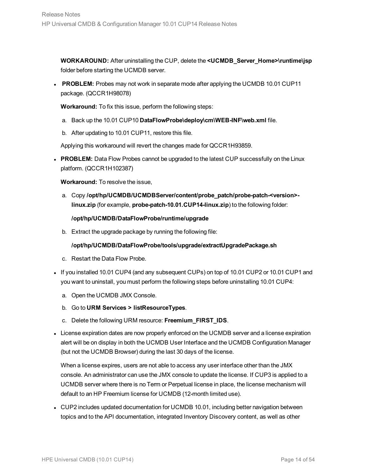**WORKAROUND:** After uninstalling the CUP, delete the **<UCMDB\_Server\_Home>\runtime\jsp** folder before starting the UCMDB server.

**PROBLEM:** Probes may not work in separate mode after applying the UCMDB 10.01 CUP11 package. (QCCR1H98078)

**Workaround:** To fix this issue, perform the following steps:

- a. Back up the 10.01 CUP10 **DataFlowProbe\deploy\cm\WEB-INF\web.xml** file.
- b. After updating to 10.01 CUP11, restore this file.

Applying this workaround will revert the changes made for QCCR1H93859.

**PROBLEM:** Data Flow Probes cannot be upgraded to the latest CUP successfully on the Linux platform. (QCCR1H102387)

**Workaround:** To resolve the issue,

a. Copy **/opt/hp/UCMDB/UCMDBServer/content/probe\_patch/probe-patch-<version> linux.zip** (for example, **probe-patch-10.01.CUP14-linux.zip**) to the following folder:

#### **/opt/hp/UCMDB/DataFlowProbe/runtime/upgrade**

b. Extract the upgrade package by running the following file:

#### **/opt/hp/UCMDB/DataFlowProbe/tools/upgrade/extractUpgradePackage.sh**

- c. Restart the Data Flow Probe.
- If you installed 10.01 CUP4 (and any subsequent CUPs) on top of 10.01 CUP2 or 10.01 CUP1 and you want to uninstall, you must perform the following steps before uninstalling 10.01 CUP4:
	- a. Open the UCMDB JMX Console.
	- b. Go to **URM Services > listResourceTypes**.
	- c. Delete the following URM resource: **Freemium\_FIRST\_IDS**.
- License expiration dates are now properly enforced on the UCMDB server and a license expiration alert will be on display in both the UCMDB User Interface and the UCMDB Configuration Manager (but not the UCMDB Browser) during the last 30 days of the license.

When a license expires, users are not able to access any user interface other than the JMX console. An administrator can use the JMX console to update the license. If CUP3 is applied to a UCMDB server where there is no Term or Perpetual license in place, the license mechanism will default to an HP Freemium license for UCMDB (12-month limited use).

• CUP2 includes updated documentation for UCMDB 10.01, including better navigation between topics and to the API documentation, integrated Inventory Discovery content, as well as other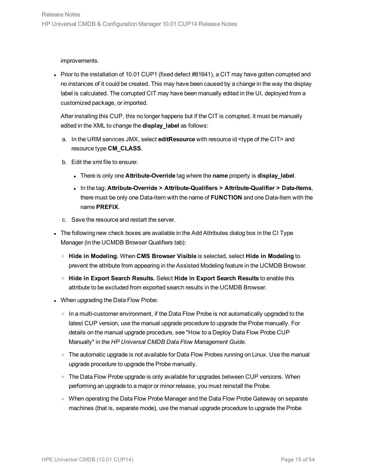#### improvements.

• Prior to the installation of 10.01 CUP1 (fixed defect #81641), a CIT may have gotten corrupted and no instances of it could be created. This may have been caused by a change in the way the display label is calculated. The corrupted CIT may have been manually edited in the UI, deployed from a customized package, or imported.

After installing this CUP, this no longer happens but if the CIT is corrupted, it must be manually edited in the XML to change the **display\_label** as follows:

- a. In the URM services JMX, select **editResource** with resource id <type of the CIT> and resource type **CM\_CLASS**.
- b. Edit the xml file to ensure:
	- <sup>l</sup> There is only one **Attribute-Override** tag where the **name** property is **display\_label**.
	- <sup>l</sup> In the tag: **Attribute-Override > Attribute-Qualifiers > Attribute-Qualifier > Data-Items**, there must be only one Data-Item with the name of **FUNCTION** and one Data-Item with the name **PREFIX**.
- c. Save the resource and restart the server.
- The following new check boxes are available in the Add Attributes dialog box in the CI Type Manager (in the UCMDB Browser Qualifiers tab):
	- <sup>o</sup> **Hide in Modeling.** When **CMS Browser Visible** is selected, select **Hide in Modeling** to prevent the attribute from appearing in the Assisted Modeling feature in the UCMDB Browser.
	- <sup>o</sup> **Hide in Export Search Results.** Select **Hide in Export Search Results** to enable this attribute to be excluded from exported search results in the UCMDB Browser.
- When upgrading the Data Flow Probe:
	- $\circ$  In a multi-customer environment, if the Data Flow Probe is not automatically upgraded to the latest CUP version, use the manual upgrade procedure to upgrade the Probe manually. For details on the manual upgrade procedure, see "How to a Deploy Data Flow Probe CUP Manually" in the *HP Universal CMDB Data Flow Management Guide*.
	- $\circ$  The automatic upgrade is not available for Data Flow Probes running on Linux. Use the manual upgrade procedure to upgrade the Probe manually.
	- $\circ$  The Data Flow Probe upgrade is only available for upgrades between CUP versions. When performing an upgrade to a major or minor release, you must reinstall the Probe.
	- o When operating the Data Flow Probe Manager and the Data Flow Probe Gateway on separate machines (that is, separate mode), use the manual upgrade procedure to upgrade the Probe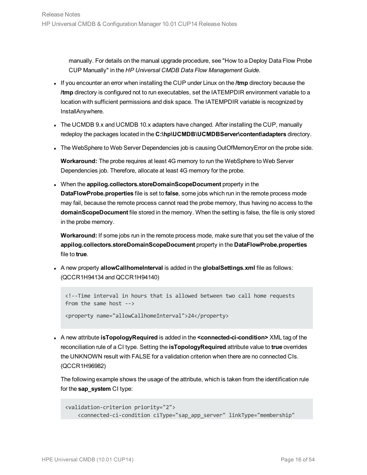manually. For details on the manual upgrade procedure, see "How to a Deploy Data Flow Probe CUP Manually" in the *HP Universal CMDB Data Flow Management Guide*.

- <sup>l</sup> If you encounter an error when installing the CUP under Linux on the **/tmp** directory because the **/tmp** directory is configured not to run executables, set the IATEMPDIR environment variable to a location with sufficient permissions and disk space. The IATEMPDIR variable is recognized by InstallAnywhere.
- The UCMDB 9.x and UCMDB 10.x adapters have changed. After installing the CUP, manually redeploy the packages located in the **C:\hp\UCMDB\UCMDBServer\content\adapters** directory.
- The WebSphere to Web Server Dependencies job is causing OutOfMemoryError on the probe side.

**Workaround:** The probe requires at least 4G memory to run the WebSphere to Web Server Dependencies job. Therefore, allocate at least 4G memory for the probe.

<sup>l</sup> When the **appilog.collectors.storeDomainScopeDocument** property in the **DataFlowProbe.properties** file is set to **false**, some jobs which run in the remote process mode may fail, because the remote process cannot read the probe memory, thus having no access to the **domainScopeDocument** file stored in the memory. When the setting is false, the file is only stored in the probe memory.

**Workaround:** If some jobs run in the remote process mode, make sure that you set the value of the **appilog.collectors.storeDomainScopeDocument** property in the **DataFlowProbe.properties** file to **true**.

<sup>l</sup> A new property **allowCallhomeInterval** is added in the **globalSettings.xml** file as follows: (QCCR1H94134 and QCCR1H94140)

```
<!--Time interval in hours that is allowed between two call home requests
from the same host -->
```
<property name="allowCallhomeInterval">24</property>

<sup>l</sup> A new attribute **isTopologyRequired** is added in the **<connected-ci-condition>** XML tag of the reconciliation rule of a CI type. Setting the **isTopologyRequired** attribute value to **true** overrides the UNKNOWN result with FALSE for a validation criterion when there are no connected CIs. (QCCR1H96982)

The following example shows the usage of the attribute, which is taken from the identification rule for the **sap\_system** CI type:

```
<validation-criterion priority="2">
    <connected-ci-condition ciType="sap_app_server" linkType="membership"
```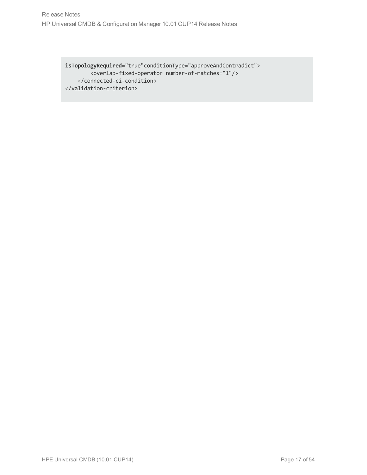**isTopologyRequired**="true"conditionType="approveAndContradict"> <overlap-fixed-operator number-of-matches="1"/> </connected-ci-condition> </validation-criterion>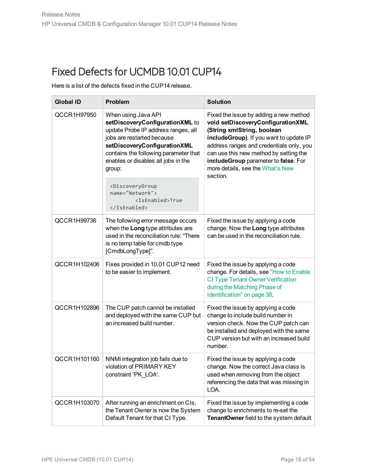<span id="page-17-0"></span>Here is a list of the defects fixed in the CUP14 release.

| <b>Global ID</b> | Problem                                                                                                                                                                                                                                                                                                                                                 | <b>Solution</b>                                                                                                                                                                                                                                                                                                                    |
|------------------|---------------------------------------------------------------------------------------------------------------------------------------------------------------------------------------------------------------------------------------------------------------------------------------------------------------------------------------------------------|------------------------------------------------------------------------------------------------------------------------------------------------------------------------------------------------------------------------------------------------------------------------------------------------------------------------------------|
| QCCR1H97950      | When using Java API<br>setDiscoveryConfigurationXML to<br>update Probe IP address ranges, all<br>jobs are restarted because<br>setDiscoveryConfigurationXML<br>contains the following parameter that<br>enables or disables all jobs in the<br>group:<br><discoverygroup<br>name="Network"&gt;<br/><isenabled>True<br/></isenabled></discoverygroup<br> | Fixed the issue by adding a new method<br>void setDiscoveryConfigurationXML<br>(String xmlString, boolean<br>includeGroup). If you want to update IP<br>address ranges and credentials only, you<br>can use this new method by setting the<br>includeGroup parameter to false. For<br>more details, see the What's New<br>section. |
| QCCR1H99736      | The following error message occurs<br>when the Long type attributes are<br>used in the reconciliation rule: "There<br>is no temp table for cmdb type<br>[CmdbLongType]".                                                                                                                                                                                | Fixed the issue by applying a code<br>change. Now the Long type attributes<br>can be used in the reconciliation rule.                                                                                                                                                                                                              |
| QCCR1H102406     | Fixes provided in 10.01 CUP12 need<br>to be easier to implement.                                                                                                                                                                                                                                                                                        | Fixed the issue by applying a code<br>change. For details, see "How to Enable<br><b>CI Type Tenant Owner Verification</b><br>during the Matching Phase of<br>Identification" on page 38.                                                                                                                                           |
| QCCR1H102896     | The CUP patch cannot be installed<br>and deployed with the same CUP but<br>an increased build number.                                                                                                                                                                                                                                                   | Fixed the issue by applying a code<br>change to include build number in<br>version check. Now the CUP patch can<br>be installed and deployed with the same<br>CUP version but with an increased build<br>number.                                                                                                                   |
| QCCR1H101160     | NNMi integration job fails due to<br>violation of PRIMARY KEY<br>constraint 'PK LOA'.                                                                                                                                                                                                                                                                   | Fixed the issue by applying a code<br>change. Now the correct Java class is<br>used when removing from the object<br>referencing the data that was missing in<br>LOA.                                                                                                                                                              |
| QCCR1H103070     | After running an enrichment on CIs,<br>the Tenant Owner is now the System<br>Default Tenant for that CI Type.                                                                                                                                                                                                                                           | Fixed the issue by implementing a code<br>change to enrichments to re-set the<br>TenantOwner field to the system default                                                                                                                                                                                                           |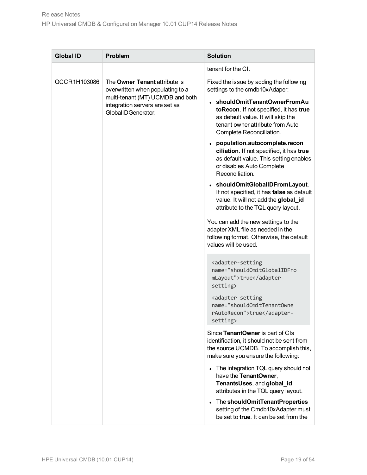| <b>Global ID</b><br><b>Problem</b>                                                                                                                                            | <b>Solution</b>                                                                                                                                                                                                                                                                                                                                                                                                                                                                                                                                                                                                                                                                                                                                                                                                                                                                                                                                                                                                                                                                                                                                                                                                                                                                                                                                                |
|-------------------------------------------------------------------------------------------------------------------------------------------------------------------------------|----------------------------------------------------------------------------------------------------------------------------------------------------------------------------------------------------------------------------------------------------------------------------------------------------------------------------------------------------------------------------------------------------------------------------------------------------------------------------------------------------------------------------------------------------------------------------------------------------------------------------------------------------------------------------------------------------------------------------------------------------------------------------------------------------------------------------------------------------------------------------------------------------------------------------------------------------------------------------------------------------------------------------------------------------------------------------------------------------------------------------------------------------------------------------------------------------------------------------------------------------------------------------------------------------------------------------------------------------------------|
|                                                                                                                                                                               | tenant for the CI.                                                                                                                                                                                                                                                                                                                                                                                                                                                                                                                                                                                                                                                                                                                                                                                                                                                                                                                                                                                                                                                                                                                                                                                                                                                                                                                                             |
| QCCR1H103086<br>The Owner Tenant attribute is<br>overwritten when populating to a<br>multi-tenant (MT) UCMDB and both<br>integration servers are set as<br>GlobalIDGenerator. | Fixed the issue by adding the following<br>settings to the cmdb10xAdaper:<br>• shouldOmitTenantOwnerFromAu<br>toRecon. If not specified, it has true<br>as default value. It will skip the<br>tenant owner attribute from Auto<br>Complete Reconciliation.<br>population.autocomplete.recon<br>ciliation. If not specified, it has true<br>as default value. This setting enables<br>or disables Auto Complete<br>Reconciliation.<br>• shouldOmitGlobalIDFromLayout.<br>If not specified, it has false as default<br>value. It will not add the global_id<br>attribute to the TQL query layout.<br>You can add the new settings to the<br>adapter XML file as needed in the<br>following format. Otherwise, the default<br>values will be used.<br><adapter-setting<br>name="shouldOmitGlobalIDFro<br/>mLayout"&gt;truesetting&gt;<br/><adapter-setting<br>name="shouldOmitTenantOwne<br/>rAutoRecon"&gt;truesetting&gt;<br/>Since TenantOwner is part of CIs<br/>identification, it should not be sent from<br/>the source UCMDB. To accomplish this,<br/>make sure you ensure the following:<br/>• The integration TQL query should not<br/>have the TenantOwner,<br/>TenantsUses, and global_id<br/>attributes in the TQL query layout.<br/>The shouldOmitTenantProperties<br/>setting of the Cmdb10xAdapter must</adapter-setting<br></adapter-setting<br> |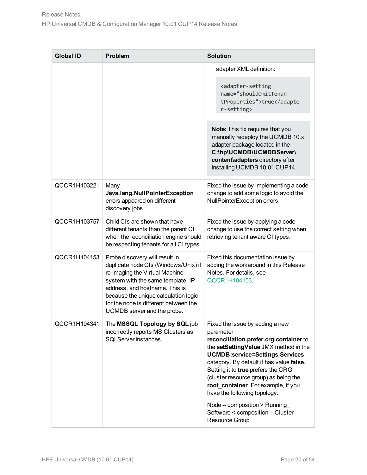|                                                                                                                                                                                                                                                                                                 | adapter XML definition:<br><adapter-setting<br>name="shouldOmitTenan<br/>tProperties"&gt;truer-setting&gt;</adapter-setting<br>                                                                                                                                                                                                                                                                                                                   |
|-------------------------------------------------------------------------------------------------------------------------------------------------------------------------------------------------------------------------------------------------------------------------------------------------|---------------------------------------------------------------------------------------------------------------------------------------------------------------------------------------------------------------------------------------------------------------------------------------------------------------------------------------------------------------------------------------------------------------------------------------------------|
|                                                                                                                                                                                                                                                                                                 |                                                                                                                                                                                                                                                                                                                                                                                                                                                   |
|                                                                                                                                                                                                                                                                                                 |                                                                                                                                                                                                                                                                                                                                                                                                                                                   |
|                                                                                                                                                                                                                                                                                                 | Note: This fix requires that you<br>manually redeploy the UCMDB 10.x<br>adapter package located in the<br>C:\hp\UCMDB\UCMDBServer\<br>content\adapters directory after<br>installing UCMDB 10.01 CUP14.                                                                                                                                                                                                                                           |
| Many<br>Java.lang.NullPointerException<br>errors appeared on different<br>discovery jobs.                                                                                                                                                                                                       | Fixed the issue by implementing a code<br>change to add some logic to avoid the<br>NullPointerException errors.                                                                                                                                                                                                                                                                                                                                   |
| Child CIs are shown that have<br>different tenants than the parent CI<br>when the reconciliation engine should<br>be respecting tenants for all CI types.                                                                                                                                       | Fixed the issue by applying a code<br>change to use the correct setting when<br>retrieving tenant aware CI types.                                                                                                                                                                                                                                                                                                                                 |
| Probe discovery will result in<br>duplicate node CIs (Windows/Unix) if<br>re-imaging the Virtual Machine<br>system with the same template, IP<br>address, and hostname. This is<br>because the unique calculation logic<br>for the node is different between the<br>UCMDB server and the probe. | Fixed this documentation issue by<br>adding the workaround in this Release<br>Notes. For details, see<br>QCCR1H104153.                                                                                                                                                                                                                                                                                                                            |
| The MSSQL Topology by SQL job<br>incorrectly reports MS Clusters as<br>SQLServer instances.                                                                                                                                                                                                     | Fixed the issue by adding a new<br>parameter<br>reconciliation.prefer.crg.container to<br>the setSettingValue JMX method in the<br><b>UCMDB:service=Settings Services</b><br>category. By default it has value false.<br>Setting it to true prefers the CRG<br>(cluster resource group) as being the<br>root_container. For example, if you<br>have the following topology:<br>Node -- composition > Running<br>Software < composition -- Cluster |
|                                                                                                                                                                                                                                                                                                 |                                                                                                                                                                                                                                                                                                                                                                                                                                                   |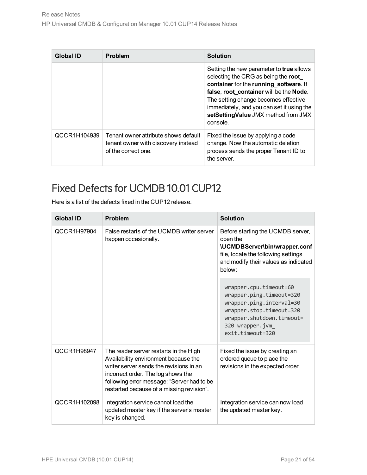| Global ID    | <b>Problem</b>                                                                                     | <b>Solution</b>                                                                                                                                                                                                                                                                                              |
|--------------|----------------------------------------------------------------------------------------------------|--------------------------------------------------------------------------------------------------------------------------------------------------------------------------------------------------------------------------------------------------------------------------------------------------------------|
|              |                                                                                                    | Setting the new parameter to true allows<br>selecting the CRG as being the root<br>container for the running_software. If<br>false, root_container will be the Node.<br>The setting change becomes effective<br>immediately, and you can set it using the<br>setSettingValue JMX method from JMX<br>console. |
| QCCR1H104939 | Tenant owner attribute shows default<br>tenant owner with discovery instead<br>of the correct one. | Fixed the issue by applying a code<br>change. Now the automatic deletion<br>process sends the proper Tenant ID to<br>the server.                                                                                                                                                                             |

<span id="page-20-0"></span>Here is a list of the defects fixed in the CUP12 release.

| <b>Global ID</b> | Problem                                                                                                                                                                                                                                                    | <b>Solution</b>                                                                                                                                                                |
|------------------|------------------------------------------------------------------------------------------------------------------------------------------------------------------------------------------------------------------------------------------------------------|--------------------------------------------------------------------------------------------------------------------------------------------------------------------------------|
| QCCR1H97904      | False restarts of the UCMDB writer server<br>happen occasionally.                                                                                                                                                                                          | Before starting the UCMDB server,<br>open the<br>\UCMDBServer\bin\wrapper.conf<br>file, locate the following settings<br>and modify their values as indicated<br>below:        |
|                  |                                                                                                                                                                                                                                                            | wrapper.cpu.timeout=60<br>wrapper.ping.timeout=320<br>wrapper.ping.interval=30<br>wrapper.stop.timeout=320<br>wrapper.shutdown.timeout=<br>320 wrapper.jvm<br>exit.timeout=320 |
| QCCR1H98947      | The reader server restarts in the High<br>Availability environment because the<br>writer server sends the revisions in an<br>incorrect order. The log shows the<br>following error message: "Server had to be<br>restarted because of a missing revision". | Fixed the issue by creating an<br>ordered queue to place the<br>revisions in the expected order.                                                                               |
| QCCR1H102098     | Integration service cannot load the<br>updated master key if the server's master<br>key is changed.                                                                                                                                                        | Integration service can now load<br>the updated master key.                                                                                                                    |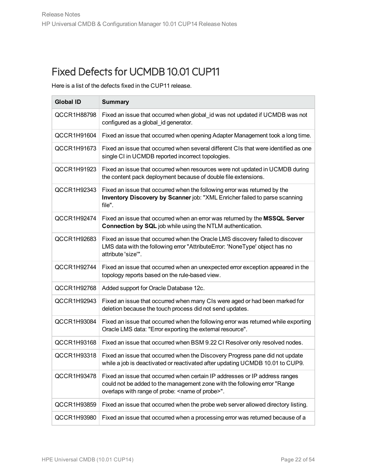<span id="page-21-0"></span>Here is a list of the defects fixed in the CUP11 release.

| <b>Global ID</b> | <b>Summary</b>                                                                                                                                                                                               |
|------------------|--------------------------------------------------------------------------------------------------------------------------------------------------------------------------------------------------------------|
| QCCR1H88798      | Fixed an issue that occurred when global id was not updated if UCMDB was not<br>configured as a global_id generator.                                                                                         |
| QCCR1H91604      | Fixed an issue that occurred when opening Adapter Management took a long time.                                                                                                                               |
| QCCR1H91673      | Fixed an issue that occurred when several different CIs that were identified as one<br>single CI in UCMDB reported incorrect topologies.                                                                     |
| QCCR1H91923      | Fixed an issue that occurred when resources were not updated in UCMDB during<br>the content pack deployment because of double file extensions.                                                               |
| QCCR1H92343      | Fixed an issue that occurred when the following error was returned by the<br>Inventory Discovery by Scanner job: "XML Enricher failed to parse scanning<br>file".                                            |
| QCCR1H92474      | Fixed an issue that occurred when an error was returned by the MSSQL Server<br>Connection by SQL job while using the NTLM authentication.                                                                    |
| QCCR1H92683      | Fixed an issue that occurred when the Oracle LMS discovery failed to discover<br>LMS data with the following error "AttributeError: 'NoneType' object has no<br>attribute 'size'".                           |
| QCCR1H92744      | Fixed an issue that occurred when an unexpected error exception appeared in the<br>topology reports based on the rule-based view.                                                                            |
| QCCR1H92768      | Added support for Oracle Database 12c.                                                                                                                                                                       |
| QCCR1H92943      | Fixed an issue that occurred when many CIs were aged or had been marked for<br>deletion because the touch process did not send updates.                                                                      |
| QCCR1H93084      | Fixed an issue that occurred when the following error was returned while exporting<br>Oracle LMS data: "Error exporting the external resource".                                                              |
| QCCR1H93168      | Fixed an issue that occurred when BSM 9.22 CI Resolver only resolved nodes.                                                                                                                                  |
| QCCR1H93318      | Fixed an issue that occurred when the Discovery Progress pane did not update<br>while a job is deactivated or reactivated after updating UCMDB 10.01 to CUP9.                                                |
| QCCR1H93478      | Fixed an issue that occurred when certain IP addresses or IP address ranges<br>could not be added to the management zone with the following error "Range<br>overlaps with range of probe: < name of probe>". |
| QCCR1H93859      | Fixed an issue that occurred when the probe web server allowed directory listing.                                                                                                                            |
| QCCR1H93980      | Fixed an issue that occurred when a processing error was returned because of a                                                                                                                               |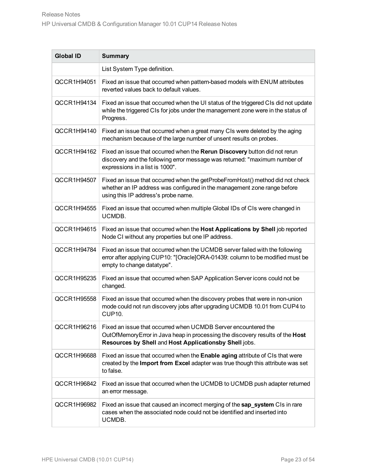| <b>Global ID</b> | <b>Summary</b>                                                                                                                                                                                             |
|------------------|------------------------------------------------------------------------------------------------------------------------------------------------------------------------------------------------------------|
|                  | List System Type definition.                                                                                                                                                                               |
| QCCR1H94051      | Fixed an issue that occurred when pattern-based models with ENUM attributes<br>reverted values back to default values.                                                                                     |
| QCCR1H94134      | Fixed an issue that occurred when the UI status of the triggered CIs did not update<br>while the triggered CIs for jobs under the management zone were in the status of<br>Progress.                       |
| QCCR1H94140      | Fixed an issue that occurred when a great many CIs were deleted by the aging<br>mechanism because of the large number of unsent results on probes.                                                         |
| QCCR1H94162      | Fixed an issue that occurred when the Rerun Discovery button did not rerun<br>discovery and the following error message was returned: "maximum number of<br>expressions in a list is 1000".                |
| QCCR1H94507      | Fixed an issue that occurred when the getProbeFromHost() method did not check<br>whether an IP address was configured in the management zone range before<br>using this IP address's probe name.           |
| QCCR1H94555      | Fixed an issue that occurred when multiple Global IDs of CIs were changed in<br>UCMDB.                                                                                                                     |
| QCCR1H94615      | Fixed an issue that occurred when the Host Applications by Shell job reported<br>Node CI without any properties but one IP address.                                                                        |
| QCCR1H94784      | Fixed an issue that occurred when the UCMDB server failed with the following<br>error after applying CUP10: "[Oracle]ORA-01439: column to be modified must be<br>empty to change datatype".                |
| QCCR1H95235      | Fixed an issue that occurred when SAP Application Server icons could not be<br>changed.                                                                                                                    |
| QCCR1H95558      | Fixed an issue that occurred when the discovery probes that were in non-union<br>mode could not run discovery jobs after upgrading UCMDB 10.01 from CUP4 to<br><b>CUP10.</b>                               |
| QCCR1H96216      | Fixed an issue that occurred when UCMDB Server encountered the<br>OutOfMemory Error in Java heap in processing the discovery results of the Host<br>Resources by Shell and Host Applicationsby Shell jobs. |
| QCCR1H96688      | Fixed an issue that occurred when the <b>Enable aging</b> attribute of CIs that were<br>created by the Import from Excel adapter was true though this attribute was set<br>to false.                       |
| QCCR1H96842      | Fixed an issue that occurred when the UCMDB to UCMDB push adapter returned<br>an error message.                                                                                                            |
| QCCR1H96982      | Fixed an issue that caused an incorrect merging of the sap_system CIs in rare<br>cases when the associated node could not be identified and inserted into<br>UCMDB.                                        |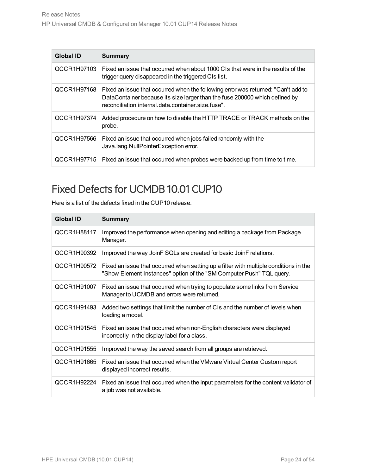| <b>Global ID</b> | <b>Summary</b>                                                                                                                                                                                                         |
|------------------|------------------------------------------------------------------------------------------------------------------------------------------------------------------------------------------------------------------------|
| QCCR1H97103      | Fixed an issue that occurred when about 1000 CIs that were in the results of the<br>trigger query disappeared in the triggered CIs list.                                                                               |
| QCCR1H97168      | Fixed an issue that occurred when the following error was returned: "Can't add to<br>DataContainer because its size larger than the fuse 200000 which defined by<br>reconciliation.internal.data.container.size.fuse". |
| QCCR1H97374      | Added procedure on how to disable the HTTP TRACE or TRACK methods on the<br>probe.                                                                                                                                     |
| QCCR1H97566      | Fixed an issue that occurred when jobs failed randomly with the<br>Java.lang.NullPointerException error.                                                                                                               |
| QCCR1H97715      | Fixed an issue that occurred when probes were backed up from time to time.                                                                                                                                             |

<span id="page-23-0"></span>Here is a list of the defects fixed in the CUP10 release.

| <b>Global ID</b>   | <b>Summary</b>                                                                                                                                                |
|--------------------|---------------------------------------------------------------------------------------------------------------------------------------------------------------|
| QCCR1H88117        | Improved the performance when opening and editing a package from Package<br>Manager.                                                                          |
| QCCR1H90392        | Improved the way JoinF SQLs are created for basic JoinF relations.                                                                                            |
| QCCR1H90572        | Fixed an issue that occurred when setting up a filter with multiple conditions in the<br>"Show Element Instances" option of the "SM Computer Push" TQL query. |
| <b>QCCR1H91007</b> | Fixed an issue that occurred when trying to populate some links from Service<br>Manager to UCMDB and errors were returned.                                    |
| QCCR1H91493        | Added two settings that limit the number of CIs and the number of levels when<br>loading a model.                                                             |
| QCCR1H91545        | Fixed an issue that occurred when non-English characters were displayed<br>incorrectly in the display label for a class.                                      |
| QCCR1H91555        | Improved the way the saved search from all groups are retrieved.                                                                                              |
| QCCR1H91665        | Fixed an issue that occurred when the VMware Virtual Center Custom report<br>displayed incorrect results.                                                     |
| QCCR1H92224        | Fixed an issue that occurred when the input parameters for the content validator of<br>a job was not available.                                               |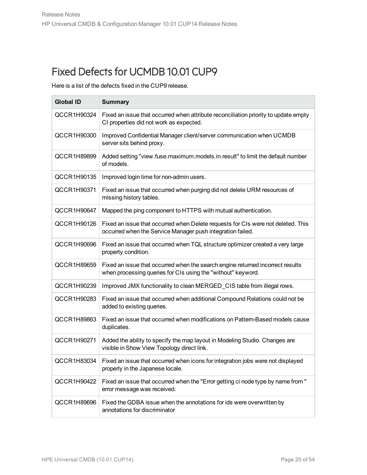<span id="page-24-0"></span>Here is a list of the defects fixed in the CUP9 release.

| <b>Global ID</b> | <b>Summary</b>                                                                                                                                 |
|------------------|------------------------------------------------------------------------------------------------------------------------------------------------|
| QCCR1H90324      | Fixed an issue that occurred when attribute reconciliation priority to update empty<br>CI properties did not work as expected.                 |
| QCCR1H90300      | Improved Confidential Manager client/server communication when UCMDB<br>server sits behind proxy.                                              |
| QCCR1H89899      | Added setting "view.fuse.maximum.models.in.result" to limit the default number<br>of models.                                                   |
| QCCR1H90135      | Improved login time for non-admin users.                                                                                                       |
| QCCR1H90371      | Fixed an issue that occurred when purging did not delete URM resources of<br>missing history tables.                                           |
| QCCR1H90647      | Mapped the ping component to HTTPS with mutual authentication.                                                                                 |
| QCCR1H90126      | Fixed an issue that occurred when Delete requests for CIs were not deleted. This<br>occurred when the Service Manager push integration failed. |
| QCCR1H90696      | Fixed an issue that occurred when TQL structure optimizer created a very large<br>property condition.                                          |
| QCCR1H89659      | Fixed an issue that occurred when the search engine returned incorrect results<br>when processing queries for CIs using the "without" keyword. |
| QCCR1H90239      | Improved JMX functionality to clean MERGED_CIS table from illegal rows.                                                                        |
| QCCR1H90283      | Fixed an issue that occurred when additional Compound Relations could not be<br>added to existing queries.                                     |
| QCCR1H89863      | Fixed an issue that occurred when modifications on Pattern-Based models cause<br>duplicates.                                                   |
| QCCR1H90271      | Added the ability to specify the map layout in Modeling Studio. Changes are<br>visible in Show View Topology direct link.                      |
| QCCR1H83034      | Fixed an issue that occurred when icons for integration jobs were not displayed<br>properly in the Japanese locale.                            |
| QCCR1H90422      | Fixed an issue that occurred when the "Error getting ci node type by name from "<br>error message was received.                                |
| QCCR1H89696      | Fixed the GDBA issue when the annotations for ids were overwritten by<br>annotations for discriminator                                         |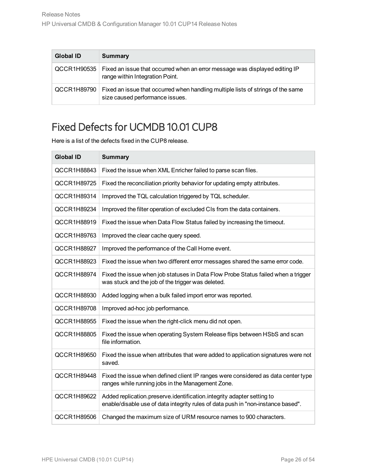| <b>Global ID</b> | <b>Summary</b>                                                                                                      |
|------------------|---------------------------------------------------------------------------------------------------------------------|
| QCCR1H90535      | Fixed an issue that occurred when an error message was displayed editing IP<br>range within Integration Point.      |
| QCCR1H89790      | Fixed an issue that occurred when handling multiple lists of strings of the same<br>size caused performance issues. |

<span id="page-25-0"></span>Here is a list of the defects fixed in the CUP8 release.

| <b>Global ID</b>   | <b>Summary</b>                                                                                                                                             |
|--------------------|------------------------------------------------------------------------------------------------------------------------------------------------------------|
| QCCR1H88843        | Fixed the issue when XML Enricher failed to parse scan files.                                                                                              |
| QCCR1H89725        | Fixed the reconciliation priority behavior for updating empty attributes.                                                                                  |
| QCCR1H89314        | Improved the TQL calculation triggered by TQL scheduler.                                                                                                   |
| QCCR1H89234        | Improved the filter operation of excluded CIs from the data containers.                                                                                    |
| QCCR1H88919        | Fixed the issue when Data Flow Status failed by increasing the timeout.                                                                                    |
| QCCR1H89763        | Improved the clear cache query speed.                                                                                                                      |
| QCCR1H88927        | Improved the performance of the Call Home event.                                                                                                           |
| QCCR1H88923        | Fixed the issue when two different error messages shared the same error code.                                                                              |
| QCCR1H88974        | Fixed the issue when job statuses in Data Flow Probe Status failed when a trigger<br>was stuck and the job of the trigger was deleted.                     |
| QCCR1H88930        | Added logging when a bulk failed import error was reported.                                                                                                |
| QCCR1H89708        | Improved ad-hoc job performance.                                                                                                                           |
| QCCR1H88955        | Fixed the issue when the right-click menu did not open.                                                                                                    |
| <b>QCCR1H88805</b> | Fixed the issue when operating System Release flips between HSbS and scan<br>file information.                                                             |
| QCCR1H89650        | Fixed the issue when attributes that were added to application signatures were not<br>saved.                                                               |
| QCCR1H89448        | Fixed the issue when defined client IP ranges were considered as data center type<br>ranges while running jobs in the Management Zone.                     |
| QCCR1H89622        | Added replication.preserve.identification.integrity adapter setting to<br>enable/disable use of data integrity rules of data push in "non-instance based". |
| QCCR1H89506        | Changed the maximum size of URM resource names to 900 characters.                                                                                          |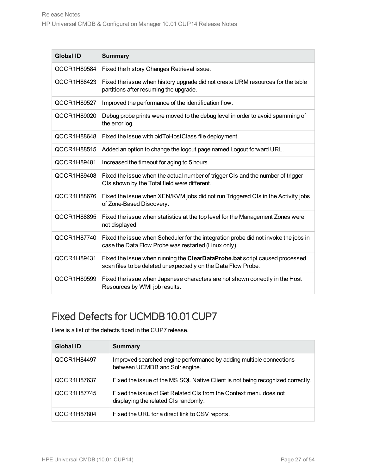| <b>Global ID</b> | <b>Summary</b>                                                                                                                               |
|------------------|----------------------------------------------------------------------------------------------------------------------------------------------|
| QCCR1H89584      | Fixed the history Changes Retrieval issue.                                                                                                   |
| QCCR1H88423      | Fixed the issue when history upgrade did not create URM resources for the table<br>partitions after resuming the upgrade.                    |
| QCCR1H89527      | Improved the performance of the identification flow.                                                                                         |
| QCCR1H89020      | Debug probe prints were moved to the debug level in order to avoid spamming of<br>the error log.                                             |
| QCCR1H88648      | Fixed the issue with oidToHostClass file deployment.                                                                                         |
| QCCR1H88515      | Added an option to change the logout page named Logout forward URL.                                                                          |
| QCCR1H89481      | Increased the timeout for aging to 5 hours.                                                                                                  |
| QCCR1H89408      | Fixed the issue when the actual number of trigger CIs and the number of trigger<br>CIs shown by the Total field were different.              |
| QCCR1H88676      | Fixed the issue when XEN/KVM jobs did not run Triggered CIs in the Activity jobs<br>of Zone-Based Discovery.                                 |
| QCCR1H88895      | Fixed the issue when statistics at the top level for the Management Zones were<br>not displayed.                                             |
| QCCR1H87740      | Fixed the issue when Scheduler for the integration probe did not invoke the jobs in<br>case the Data Flow Probe was restarted (Linux only).  |
| QCCR1H89431      | Fixed the issue when running the ClearDataProbe.bat script caused processed<br>scan files to be deleted unexpectedly on the Data Flow Probe. |
| QCCR1H89599      | Fixed the issue when Japanese characters are not shown correctly in the Host<br>Resources by WMI job results.                                |

<span id="page-26-0"></span>Here is a list of the defects fixed in the CUP7 release.

| Global ID   | <b>Summary</b>                                                                                            |
|-------------|-----------------------------------------------------------------------------------------------------------|
| QCCR1H84497 | Improved searched engine performance by adding multiple connections<br>between UCMDB and Solr engine.     |
| QCCR1H87637 | Fixed the issue of the MS SQL Native Client is not being recognized correctly.                            |
| QCCR1H87745 | Fixed the issue of Get Related CIs from the Context menu does not<br>displaying the related CIs randomly. |
| QCCR1H87804 | Fixed the URL for a direct link to CSV reports.                                                           |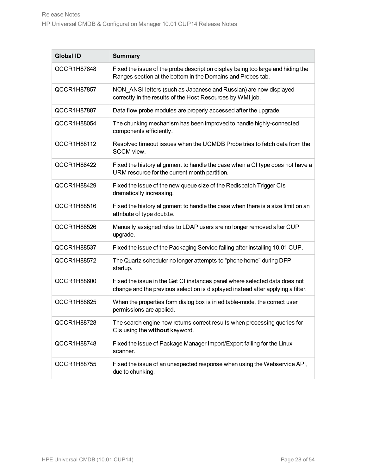| <b>Global ID</b>   | <b>Summary</b>                                                                                                                                                |
|--------------------|---------------------------------------------------------------------------------------------------------------------------------------------------------------|
| QCCR1H87848        | Fixed the issue of the probe description display being too large and hiding the<br>Ranges section at the bottom in the Domains and Probes tab.                |
| QCCR1H87857        | NON ANSI letters (such as Japanese and Russian) are now displayed<br>correctly in the results of the Host Resources by WMI job.                               |
| QCCR1H87887        | Data flow probe modules are properly accessed after the upgrade.                                                                                              |
| QCCR1H88054        | The chunking mechanism has been improved to handle highly-connected<br>components efficiently.                                                                |
| <b>QCCR1H88112</b> | Resolved timeout issues when the UCMDB Probe tries to fetch data from the<br>SCCM view.                                                                       |
| QCCR1H88422        | Fixed the history alignment to handle the case when a CI type does not have a<br>URM resource for the current month partition.                                |
| QCCR1H88429        | Fixed the issue of the new queue size of the Redispatch Trigger CIs<br>dramatically increasing.                                                               |
| QCCR1H88516        | Fixed the history alignment to handle the case when there is a size limit on an<br>attribute of type double.                                                  |
| QCCR1H88526        | Manually assigned roles to LDAP users are no longer removed after CUP<br>upgrade.                                                                             |
| QCCR1H88537        | Fixed the issue of the Packaging Service failing after installing 10.01 CUP.                                                                                  |
| QCCR1H88572        | The Quartz scheduler no longer attempts to "phone home" during DFP<br>startup.                                                                                |
| QCCR1H88600        | Fixed the issue in the Get CI instances panel where selected data does not<br>change and the previous selection is displayed instead after applying a filter. |
| QCCR1H88625        | When the properties form dialog box is in editable-mode, the correct user<br>permissions are applied.                                                         |
| QCCR1H88728        | The search engine now returns correct results when processing queries for<br>CIs using the without keyword.                                                   |
| QCCR1H88748        | Fixed the issue of Package Manager Import/Export failing for the Linux<br>scanner.                                                                            |
| QCCR1H88755        | Fixed the issue of an unexpected response when using the Webservice API,<br>due to chunking.                                                                  |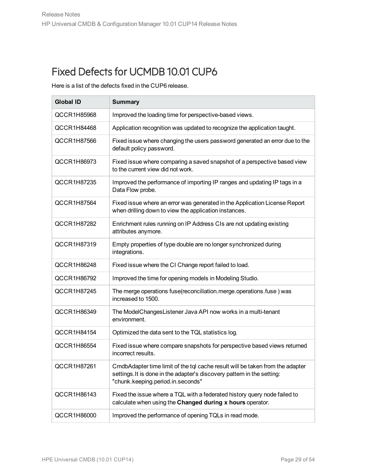<span id="page-28-0"></span>Here is a list of the defects fixed in the CUP6 release.

| <b>Global ID</b> | <b>Summary</b>                                                                                                                                                                                |
|------------------|-----------------------------------------------------------------------------------------------------------------------------------------------------------------------------------------------|
| QCCR1H85968      | Improved the loading time for perspective-based views.                                                                                                                                        |
| QCCR1H84468      | Application recognition was updated to recognize the application taught.                                                                                                                      |
| QCCR1H87566      | Fixed issue where changing the users password generated an error due to the<br>default policy password.                                                                                       |
| QCCR1H86973      | Fixed issue where comparing a saved snapshot of a perspective based view<br>to the current view did not work.                                                                                 |
| QCCR1H87235      | Improved the performance of importing IP ranges and updating IP tags in a<br>Data Flow probe.                                                                                                 |
| QCCR1H87564      | Fixed issue where an error was generated in the Application License Report<br>when drilling down to view the application instances.                                                           |
| QCCR1H87282      | Enrichment rules running on IP Address CIs are not updating existing<br>attributes anymore.                                                                                                   |
| QCCR1H87319      | Empty properties of type double are no longer synchronized during<br>integrations.                                                                                                            |
| QCCR1H86248      | Fixed issue where the CI Change report failed to load.                                                                                                                                        |
| QCCR1H86792      | Improved the time for opening models in Modeling Studio.                                                                                                                                      |
| QCCR1H87245      | The merge operations fuse(reconciliation.merge.operations.fuse) was<br>increased to 1500.                                                                                                     |
| QCCR1H86349      | The ModelChangesListener Java API now works in a multi-tenant<br>environment.                                                                                                                 |
| QCCR1H84154      | Optimized the data sent to the TQL statistics log.                                                                                                                                            |
| QCCR1H86554      | Fixed issue where compare snapshots for perspective based views returned<br>incorrect results.                                                                                                |
| QCCR1H87261      | CmdbAdapter time limit of the tql cache result will be taken from the adapter<br>settings. It is done in the adapter's discovery pattern in the setting:<br>"chunk.keeping.period.in.seconds" |
| QCCR1H86143      | Fixed the issue where a TQL with a federated history query node failed to<br>calculate when using the Changed during x hours operator.                                                        |
| QCCR1H86000      | Improved the performance of opening TQLs in read mode.                                                                                                                                        |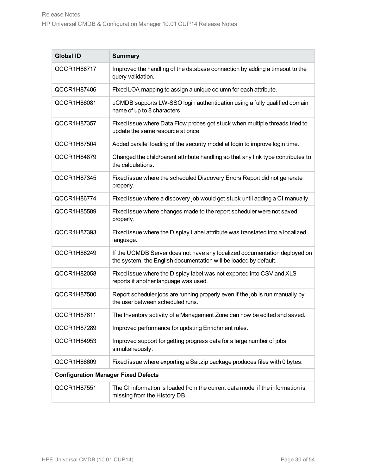| <b>Global ID</b>                           | <b>Summary</b>                                                                                                                                |
|--------------------------------------------|-----------------------------------------------------------------------------------------------------------------------------------------------|
| QCCR1H86717                                | Improved the handling of the database connection by adding a timeout to the<br>query validation.                                              |
| QCCR1H87406                                | Fixed LOA mapping to assign a unique column for each attribute.                                                                               |
| QCCR1H86081                                | uCMDB supports LW-SSO login authentication using a fully qualified domain<br>name of up to 8 characters.                                      |
| QCCR1H87357                                | Fixed issue where Data Flow probes got stuck when multiple threads tried to<br>update the same resource at once.                              |
| QCCR1H87504                                | Added parallel loading of the security model at login to improve login time.                                                                  |
| QCCR1H84879                                | Changed the child/parent attribute handling so that any link type contributes to<br>the calculations.                                         |
| QCCR1H87345                                | Fixed issue where the scheduled Discovery Errors Report did not generate<br>properly.                                                         |
| QCCR1H86774                                | Fixed issue where a discovery job would get stuck until adding a CI manually.                                                                 |
| QCCR1H85589                                | Fixed issue where changes made to the report scheduler were not saved<br>properly.                                                            |
| QCCR1H87393                                | Fixed issue where the Display Label attribute was translated into a localized<br>language.                                                    |
| QCCR1H86249                                | If the UCMDB Server does not have any localized documentation deployed on<br>the system, the English documentation will be loaded by default. |
| QCCR1H82058                                | Fixed issue where the Display label was not exported into CSV and XLS<br>reports if another language was used.                                |
| QCCR1H87500                                | Report scheduler jobs are running properly even if the job is run manually by<br>the user between scheduled runs.                             |
| QCCR1H87611                                | The Inventory activity of a Management Zone can now be edited and saved.                                                                      |
| QCCR1H87289                                | Improved performance for updating Enrichment rules.                                                                                           |
| QCCR1H84953                                | Improved support for getting progress data for a large number of jobs<br>simultaneously.                                                      |
| QCCR1H86609                                | Fixed issue where exporting a Sai.zip package produces files with 0 bytes.                                                                    |
| <b>Configuration Manager Fixed Defects</b> |                                                                                                                                               |
| QCCR1H87551                                | The CI information is loaded from the current data model if the information is<br>missing from the History DB.                                |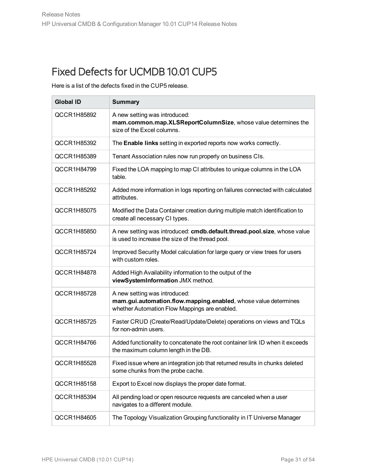<span id="page-30-0"></span>Here is a list of the defects fixed in the CUP5 release.

| <b>Global ID</b> | <b>Summary</b>                                                                                                                                    |
|------------------|---------------------------------------------------------------------------------------------------------------------------------------------------|
| QCCR1H85892      | A new setting was introduced:<br>mam.common.map.XLSReportColumnSize, whose value determines the<br>size of the Excel columns.                     |
| QCCR1H85392      | The Enable links setting in exported reports now works correctly.                                                                                 |
| QCCR1H85389      | Tenant Association rules now run properly on business CIs.                                                                                        |
| QCCR1H84799      | Fixed the LOA mapping to map CI attributes to unique columns in the LOA<br>table.                                                                 |
| QCCR1H85292      | Added more information in logs reporting on failures connected with calculated<br>attributes.                                                     |
| QCCR1H85075      | Modified the Data Container creation during multiple match identification to<br>create all necessary CI types.                                    |
| QCCR1H85850      | A new setting was introduced: cmdb.default.thread.pool.size, whose value<br>is used to increase the size of the thread pool.                      |
| QCCR1H85724      | Improved Security Model calculation for large query or view trees for users<br>with custom roles.                                                 |
| QCCR1H84878      | Added High Availability information to the output of the<br>viewSystemInformation JMX method.                                                     |
| QCCR1H85728      | A new setting was introduced:<br>mam.gui.automation.flow.mapping.enabled, whose value determines<br>whether Automation Flow Mappings are enabled. |
| QCCR1H85725      | Faster CRUD (Create/Read/Update/Delete) operations on views and TQLs<br>for non-admin users.                                                      |
| QCCR1H84766      | Added functionality to concatenate the root container link ID when it exceeds<br>the maximum column length in the DB.                             |
| QCCR1H85528      | Fixed issue where an integration job that returned results in chunks deleted<br>some chunks from the probe cache.                                 |
| QCCR1H85158      | Export to Excel now displays the proper date format.                                                                                              |
| QCCR1H85394      | All pending load or open resource requests are canceled when a user<br>navigates to a different module.                                           |
| QCCR1H84605      | The Topology Visualization Grouping functionality in IT Universe Manager                                                                          |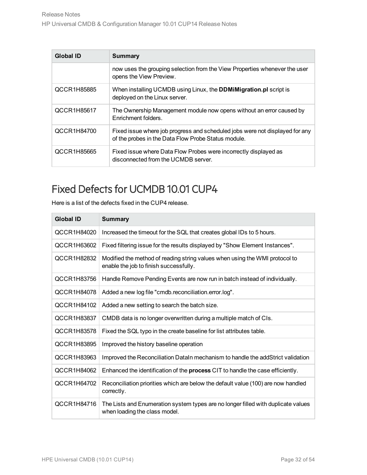| <b>Global ID</b> | Summary                                                                                                                             |
|------------------|-------------------------------------------------------------------------------------------------------------------------------------|
|                  | now uses the grouping selection from the View Properties whenever the user<br>opens the View Preview.                               |
| QCCR1H85885      | When installing UCMDB using Linux, the <b>DDMiMigration.pl</b> script is<br>deployed on the Linux server.                           |
| QCCR1H85617      | The Ownership Management module now opens without an error caused by<br>Enrichment folders.                                         |
| QCCR1H84700      | Fixed issue where job progress and scheduled jobs were not displayed for any<br>of the probes in the Data Flow Probe Status module. |
| QCCR1H85665      | Fixed issue where Data Flow Probes were incorrectly displayed as<br>disconnected from the UCMDB server.                             |

<span id="page-31-0"></span>Here is a list of the defects fixed in the CUP4 release.

| <b>Global ID</b> | <b>Summary</b>                                                                                                        |
|------------------|-----------------------------------------------------------------------------------------------------------------------|
| QCCR1H84020      | Increased the timeout for the SQL that creates global IDs to 5 hours.                                                 |
| QCCR1H63602      | Fixed filtering issue for the results displayed by "Show Element Instances".                                          |
| QCCR1H82832      | Modified the method of reading string values when using the WMI protocol to<br>enable the job to finish successfully. |
| QCCR1H83756      | Handle Remove Pending Events are now run in batch instead of individually.                                            |
| QCCR1H84078      | Added a new log file "cmdb.reconciliation.error.log".                                                                 |
| QCCR1H84102      | Added a new setting to search the batch size.                                                                         |
| QCCR1H83837      | CMDB data is no longer overwritten during a multiple match of CIs.                                                    |
| QCCR1H83578      | Fixed the SQL typo in the create baseline for list attributes table.                                                  |
| QCCR1H83895      | Improved the history baseline operation                                                                               |
| QCCR1H83963      | Improved the Reconciliation DataIn mechanism to handle the addStrict validation                                       |
| QCCR1H84062      | Enhanced the identification of the <b>process</b> CIT to handle the case efficiently.                                 |
| QCCR1H64702      | Reconciliation priorities which are below the default value (100) are now handled<br>correctly.                       |
| QCCR1H84716      | The Lists and Enumeration system types are no longer filled with duplicate values<br>when loading the class model.    |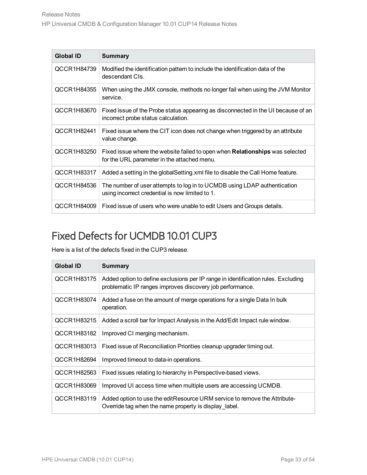| <b>Global ID</b> | <b>Summary</b>                                                                                                                     |
|------------------|------------------------------------------------------------------------------------------------------------------------------------|
| QCCR1H84739      | Modified the identification pattern to include the identification data of the<br>descendant CIs.                                   |
| QCCR1H84355      | When using the JMX console, methods no longer fail when using the JVM Monitor<br>service.                                          |
| QCCR1H83670      | Fixed issue of the Probe status appearing as disconnected in the UI because of an<br>incorrect probe status calculation.           |
| QCCR1H82441      | Fixed issue where the CIT icon does not change when triggered by an attribute<br>value change.                                     |
| QCCR1H83250      | Fixed issue where the website failed to open when <b>Relationships</b> was selected<br>for the URL parameter in the attached menu. |
| QCCR1H83317      | Added a setting in the global Setting xml file to disable the Call Home feature.                                                   |
| QCCR1H84536      | The number of user attempts to log in to UCMDB using LDAP authentication<br>using incorrect credential is now limited to 1.        |
| QCCR1H84009      | Fixed issue of users who were unable to edit Users and Groups details.                                                             |

<span id="page-32-0"></span>Here is a list of the defects fixed in the CUP3 release.

| <b>Global ID</b> | <b>Summary</b>                                                                                                                                 |
|------------------|------------------------------------------------------------------------------------------------------------------------------------------------|
| QCCR1H83175      | Added option to define exclusions per IP range in identification rules. Excluding<br>problematic IP ranges improves discovery job performance. |
| QCCR1H83074      | Added a fuse on the amount of merge operations for a single Data In bulk<br>operation.                                                         |
| QCCR1H83215      | Added a scroll bar for Impact Analysis in the Add/Edit Impact rule window.                                                                     |
| QCCR1H83182      | Improved CI merging mechanism.                                                                                                                 |
| QCCR1H83013      | Fixed issue of Reconciliation Priorities cleanup upgrader timing out.                                                                          |
| QCCR1H82694      | Improved timeout to data-in operations.                                                                                                        |
| QCCR1H82563      | Fixed issues relating to hierarchy in Perspective-based views.                                                                                 |
| QCCR1H83069      | Improved UI access time when multiple users are accessing UCMDB.                                                                               |
| QCCR1H83119      | Added option to use the edit Resource URM service to remove the Attribute-<br>Override tag when the name property is display label.            |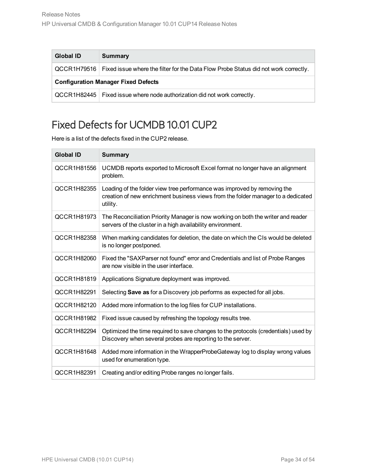| <b>Global ID</b>                           | <b>Summary</b>                                                                                    |  |  |  |  |  |
|--------------------------------------------|---------------------------------------------------------------------------------------------------|--|--|--|--|--|
|                                            | QCCR1H79516   Fixed issue where the filter for the Data Flow Probe Status did not work correctly. |  |  |  |  |  |
| <b>Configuration Manager Fixed Defects</b> |                                                                                                   |  |  |  |  |  |
|                                            | $QCCR1H82445$   Fixed issue where node authorization did not work correctly.                      |  |  |  |  |  |

<span id="page-33-0"></span>Here is a list of the defects fixed in the CUP2 release.

| <b>Global ID</b> | <b>Summary</b>                                                                                                                                                           |
|------------------|--------------------------------------------------------------------------------------------------------------------------------------------------------------------------|
| QCCR1H81556      | UCMDB reports exported to Microsoft Excel format no longer have an alignment<br>problem.                                                                                 |
| QCCR1H82355      | Loading of the folder view tree performance was improved by removing the<br>creation of new enrichment business views from the folder manager to a dedicated<br>utility. |
| QCCR1H81973      | The Reconciliation Priority Manager is now working on both the writer and reader<br>servers of the cluster in a high availability environment.                           |
| QCCR1H82358      | When marking candidates for deletion, the date on which the CIs would be deleted<br>is no longer postponed.                                                              |
| QCCR1H82060      | Fixed the "SAXParser not found" error and Credentials and list of Probe Ranges<br>are now visible in the user interface.                                                 |
| QCCR1H81819      | Applications Signature deployment was improved.                                                                                                                          |
| QCCR1H82291      | Selecting Save as for a Discovery job performs as expected for all jobs.                                                                                                 |
| QCCR1H82120      | Added more information to the log files for CUP installations.                                                                                                           |
| QCCR1H81982      | Fixed issue caused by refreshing the topology results tree.                                                                                                              |
| QCCR1H82294      | Optimized the time required to save changes to the protocols (credentials) used by<br>Discovery when several probes are reporting to the server.                         |
| QCCR1H81648      | Added more information in the WrapperProbeGateway log to display wrong values<br>used for enumeration type.                                                              |
| QCCR1H82391      | Creating and/or editing Probe ranges no longer fails.                                                                                                                    |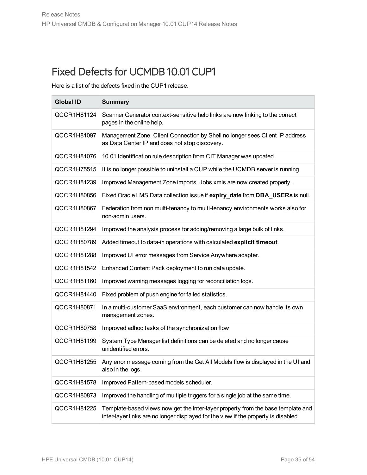<span id="page-34-0"></span>Here is a list of the defects fixed in the CUP1 release.

| <b>Global ID</b> | <b>Summary</b>                                                                                                                                                          |
|------------------|-------------------------------------------------------------------------------------------------------------------------------------------------------------------------|
| QCCR1H81124      | Scanner Generator context-sensitive help links are now linking to the correct<br>pages in the online help.                                                              |
| QCCR1H81097      | Management Zone, Client Connection by Shell no longer sees Client IP address<br>as Data Center IP and does not stop discovery.                                          |
| QCCR1H81076      | 10.01 Identification rule description from CIT Manager was updated.                                                                                                     |
| QCCR1H75515      | It is no longer possible to uninstall a CUP while the UCMDB server is running.                                                                                          |
| QCCR1H81239      | Improved Management Zone imports. Jobs xmls are now created properly.                                                                                                   |
| QCCR1H80856      | Fixed Oracle LMS Data collection issue if expiry_date from DBA_USERs is null.                                                                                           |
| QCCR1H80867      | Federation from non multi-tenancy to multi-tenancy environments works also for<br>non-admin users.                                                                      |
| QCCR1H81294      | Improved the analysis process for adding/removing a large bulk of links.                                                                                                |
| QCCR1H80789      | Added timeout to data-in operations with calculated explicit timeout.                                                                                                   |
| QCCR1H81288      | Improved UI error messages from Service Anywhere adapter.                                                                                                               |
| QCCR1H81542      | Enhanced Content Pack deployment to run data update.                                                                                                                    |
| QCCR1H81160      | Improved warning messages logging for reconciliation logs.                                                                                                              |
| QCCR1H81440      | Fixed problem of push engine for failed statistics.                                                                                                                     |
| QCCR1H80871      | In a multi-customer SaaS environment, each customer can now handle its own<br>management zones.                                                                         |
| QCCR1H80758      | Improved adhoc tasks of the synchronization flow.                                                                                                                       |
| QCCR1H81199      | System Type Manager list definitions can be deleted and no longer cause<br>unidentified errors.                                                                         |
| QCCR1H81255      | Any error message coming from the Get All Models flow is displayed in the UI and<br>also in the logs.                                                                   |
| QCCR1H81578      | Improved Pattern-based models scheduler.                                                                                                                                |
| QCCR1H80873      | Improved the handling of multiple triggers for a single job at the same time.                                                                                           |
| QCCR1H81225      | Template-based views now get the inter-layer property from the base template and<br>inter-layer links are no longer displayed for the view if the property is disabled. |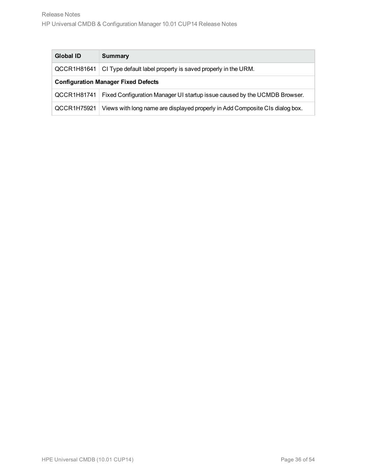| <b>Global ID</b>                           | Summary                                                                      |  |  |  |  |
|--------------------------------------------|------------------------------------------------------------------------------|--|--|--|--|
| QCCR1H81641                                | CI Type default label property is saved properly in the URM.                 |  |  |  |  |
| <b>Configuration Manager Fixed Defects</b> |                                                                              |  |  |  |  |
| QCCR1H81741                                | Fixed Configuration Manager UI startup issue caused by the UCMDB Browser.    |  |  |  |  |
| QCCR1H75921                                | Views with long name are displayed properly in Add Composite CIs dialog box. |  |  |  |  |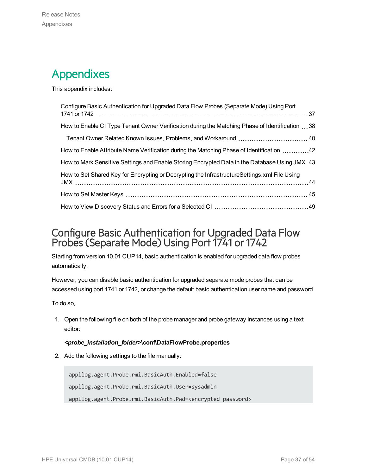## <span id="page-36-0"></span>Appendixes

This appendix includes:

| Configure Basic Authentication for Upgraded Data Flow Probes (Separate Mode) Using Port         |  |
|-------------------------------------------------------------------------------------------------|--|
| How to Enable CI Type Tenant Owner Verification during the Matching Phase of Identification  38 |  |
| Tenant Owner Related Known Issues, Problems, and Workaround  40                                 |  |
| How to Enable Attribute Name Verification during the Matching Phase of Identification 42        |  |
| How to Mark Sensitive Settings and Enable Storing Encrypted Data in the Database Using JMX 43   |  |
| How to Set Shared Key for Encrypting or Decrypting the InfrastructureSettings.xml File Using    |  |
|                                                                                                 |  |
|                                                                                                 |  |

### <span id="page-36-1"></span>Configure Basic Authentication for Upgraded Data Flow Probes(Separate Mode) Using Port 1741 or 1742

Starting from version 10.01 CUP14, basic authentication is enabled for upgraded data flow probes automatically.

However, you can disable basic authentication for upgraded separate mode probes that can be accessed using port 1741 or 1742, or change the default basic authentication user name and password.

To do so,

1. Open the following file on both of the probe manager and probe gateway instances using a text editor:

#### *<probe\_installation\_folder>***\conf\DataFlowProbe.properties**

2. Add the following settings to the file manually:

```
appilog.agent.Probe.rmi.BasicAuth.Enabled=false
appilog.agent.Probe.rmi.BasicAuth.User=sysadmin
appilog.agent.Probe.rmi.BasicAuth.Pwd=<encrypted password>
```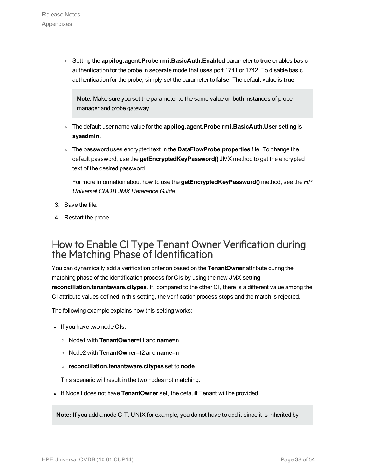<sup>o</sup> Setting the **appilog.agent.Probe.rmi.BasicAuth.Enabled** parameter to **true** enables basic authentication for the probe in separate mode that uses port 1741 or 1742. To disable basic authentication for the probe, simply set the parameter to **false**. The default value is **true**.

**Note:** Make sure you set the parameter to the same value on both instances of probe manager and probe gateway.

- <sup>o</sup> The default user name value for the **appilog.agent.Probe.rmi.BasicAuth.User** setting is **sysadmin**.
- <sup>o</sup> The password uses encrypted text in the **DataFlowProbe.properties** file. To change the default password, use the **getEncryptedKeyPassword()** JMX method to get the encrypted text of the desired password.

For more information about how to use the **getEncryptedKeyPassword()** method, see the *HP Universal CMDB JMX Reference Guide*.

- 3. Save the file.
- 4. Restart the probe.

### <span id="page-37-0"></span>How to Enable CI Type Tenant Owner Verification during the Matching Phase of Identification

You can dynamically add a verification criterion based on the **TenantOwner** attribute during the matching phase of the identification process for CIs by using the new JMX setting **reconciliation.tenantaware.citypes**. If, compared to the other CI, there is a different value among the CI attribute values defined in this setting, the verification process stops and the match is rejected.

The following example explains how this setting works:

- If you have two node CIs:
	- <sup>o</sup> Node1 with **TenantOwner**=t1 and **name**=n
	- <sup>o</sup> Node2 with **TenantOwner**=t2 and **name**=n
	- <sup>o</sup> **reconciliation.tenantaware.citypes** set to **node**

This scenario will result in the two nodes not matching.

. If Node1 does not have **TenantOwner** set, the default Tenant will be provided.

**Note:** If you add a node CIT, UNIX for example, you do not have to add it since it is inherited by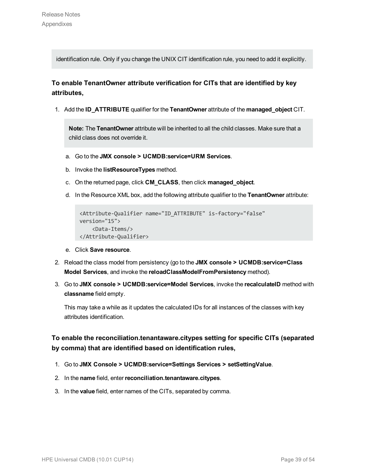identification rule. Only if you change the UNIX CIT identification rule, you need to add it explicitly.

### **To enable TenantOwner attribute verification for CITs that are identified by key attributes,**

1. Add the **ID\_ATTRIBUTE** qualifier for the **TenantOwner** attribute of the **managed\_object** CIT.

**Note:** The **TenantOwner** attribute will be inherited to all the child classes. Make sure that a child class does not override it.

- a. Go to the **JMX console > UCMDB:service=URM Services**.
- b. Invoke the **listResourceTypes** method.
- c. On the returned page, click **CM\_CLASS**, then click **managed\_object**.
- d. In the Resource XML box, add the following attribute qualifier to the **TenantOwner** attribute:

```
<Attribute-Qualifier name="ID_ATTRIBUTE" is-factory="false"
version="15">
    <Data-Items/>
</Attribute-Qualifier>
```
- e. Click **Save resource**.
- 2. Reload the class model from persistency (go to the **JMX console > UCMDB:service=Class Model Services**, and invoke the **reloadClassModelFromPersistency** method).
- 3. Go to **JMX console > UCMDB:service=Model Services**, invoke the **recalculateID** method with **classname** field empty.

This may take a while as it updates the calculated IDs for all instances of the classes with key attributes identification.

### **To enable the reconciliation.tenantaware.citypes setting for specific CITs (separated by comma) that are identified based on identification rules,**

- 1. Go to **JMX Console > UCMDB:service=Settings Services > setSettingValue**.
- 2. In the **name** field, enter**reconciliation.tenantaware.citypes**.
- 3. In the **value** field, enter names of the CITs, separated by comma.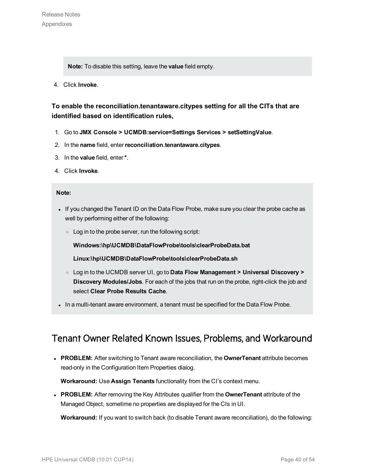**Note:** To disable this setting, leave the **value** field empty.

4. Click **Invoke**.

### **To enable the reconciliation.tenantaware.citypes setting for all the CITs that are identified based on identification rules,**

- 1. Go to **JMX Console > UCMDB:service=Settings Services > setSettingValue**.
- 2. In the **name** field, enter**reconciliation.tenantaware.citypes**.
- 3. In the **value** field, enter**\***.
- 4. Click **Invoke**.

#### **Note:**

- If you changed the Tenant ID on the Data Flow Probe, make sure you clear the probe cache as well by performing either of the following:
	- <sup>o</sup> Log in to the probe server, run the following script:

**Windows:\hp\UCMDB\DataFlowProbe\tools\clearProbeData.bat**

**Linux:\hp\UCMDB\DataFlowProbe\tools\clearProbeData.sh**

- <sup>o</sup> Log in to the UCMDB server UI, go to **Data Flow Management > Universal Discovery > Discovery Modules/Jobs**. For each of the jobs that run on the probe, right-click the job and select **Clear Probe Results Cache**.
- <span id="page-39-0"></span>In a multi-tenant aware environment, a tenant must be specified for the Data Flow Probe.

### Tenant Owner Related Known Issues, Problems, and Workaround

**PROBLEM:** After switching to Tenant aware reconciliation, the **OwnerTenant** attribute becomes read-only in the Configuration Item Properties dialog.

**Workaround:** Use **Assign Tenants** functionality from the CI's context menu.

**PROBLEM:** After removing the Key Attributes qualifier from the **OwnerTenant** attribute of the Managed Object, sometime no properties are displayed for the CIs in UI.

**Workaround:** If you want to switch back (to disable Tenant aware reconciliation), do the following: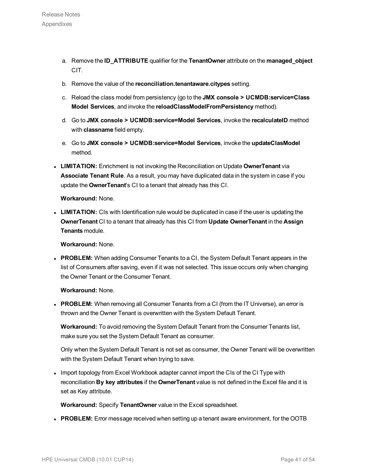- a. Remove the **ID\_ATTRIBUTE** qualifier for the **TenantOwner** attribute on the **managed\_object** CIT.
- b. Remove the value of the **reconciliation.tenantaware.citypes** setting.
- c. Reload the class model from persistency (go to the **JMX console > UCMDB:service=Class Model Services**, and invoke the **reloadClassModelFromPersistency** method).
- d. Go to **JMX console > UCMDB:service=Model Services**, invoke the **recalculateID** method with **classname** field empty.
- e. Go to **JMX console > UCMDB:service=Model Services**, invoke the **updateClasModel** method.
- **LIMITATION:** Enrichment is not invoking the Reconciliation on Update OwnerTenant via **Associate Tenant Rule**. As a result, you may have duplicated data in the system in case if you update the **OwnerTenant**'s CI to a tenant that already has this CI.

**Workaround:** None.

• LIMITATION: CIs with Identification rule would be duplicated in case if the user is updating the **OwnerTenant** CI to a tenant that already has this CI from **Update OwnerTenant** in the **Assign Tenants** module.

**Workaround:** None.

**PROBLEM:** When adding Consumer Tenants to a CI, the System Default Tenant appears in the list of Consumers after saving, even if it was not selected. This issue occurs only when changing the Owner Tenant or the Consumer Tenant.

**Workaround:** None.

• PROBLEM: When removing all Consumer Tenants from a CI (from the IT Universe), an error is thrown and the Owner Tenant is overwritten with the System Default Tenant.

**Workaround:** To avoid removing the System Default Tenant from the Consumer Tenants list, make sure you set the System Default Tenant as consumer.

Only when the System Default Tenant is not set as consumer, the Owner Tenant will be overwritten with the System Default Tenant when trying to save.

• Import topology from Excel Workbook adapter cannot import the CIs of the CI Type with reconciliation **By key attributes** if the **OwnerTenant** value is not defined in the Excel file and it is set as Key attribute.

**Workaround:** Specify **TenantOwner** value in the Excel spreadsheet.

**PROBLEM:** Error message received when setting up a tenant aware environment, for the OOTB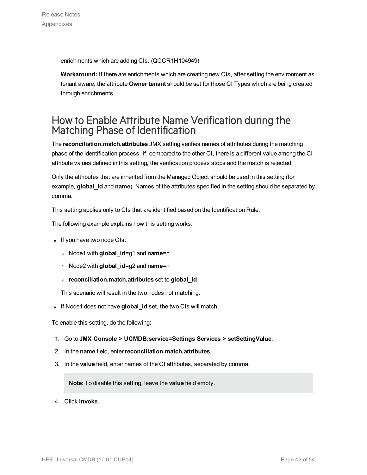enrichments which are adding CIs. (QCCR1H104949)

**Workaround:** If there are enrichments which are creating new CIs, after setting the environment as tenant aware, the attribute **Owner tenant** should be set for those CI Types which are being created through enrichments.

### <span id="page-41-0"></span>How to Enable Attribute Name Verification during the Matching Phase of Identification

The **reconciliation.match.attributes** JMX setting verifies names of attributes during the matching phase of the identification process. If, compared to the other CI, there is a different value among the CI attribute values defined in this setting, the verification process stops and the match is rejected.

Only the attributes that are inherited from the Managed Object should be used in this setting (for example, **global\_id** and **name**). Names of the attributes specified in the setting should be separated by comma.

This setting applies only to CIs that are identified based on the Identification Rule.

The following example explains how this setting works:

- If you have two node CIs:
	- <sup>o</sup> Node1 with **global\_id**=g1 and **name**=n
	- <sup>o</sup> Node2 with **global\_id**=g2 and **name**=n
	- <sup>o</sup> **reconciliation.match.attributes** set to **global\_id**

This scenario will result in the two nodes not matching.

**.** If Node1 does not have global\_id set, the two CIs will match.

To enable this setting, do the following:

- 1. Go to **JMX Console > UCMDB:service=Settings Services > setSettingValue**.
- 2. In the **name** field, enter**reconciliation.match.attributes**.
- 3. In the **value** field, enter names of the CI attributes, separated by comma.

**Note:** To disable this setting, leave the **value** field empty.

4. Click **Invoke**.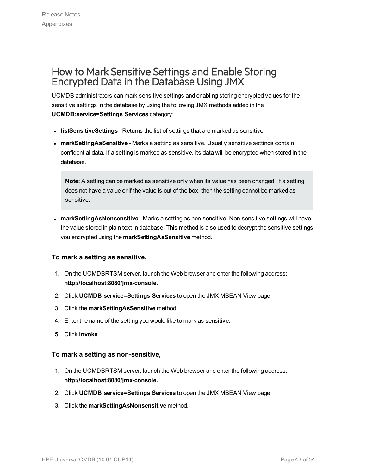### <span id="page-42-0"></span>How to Mark Sensitive Settings and Enable Storing Encrypted Data in the Database Using JMX

UCMDB administrators can mark sensitive settings and enabling storing encrypted values for the sensitive settings in the database by using the following JMX methods added in the **UCMDB:service=Settings Services** category:

- **IIstSensitiveSettings** Returns the list of settings that are marked as sensitive.
- **· markSettingAsSensitive** Marks a setting as sensitive. Usually sensitive settings contain confidential data. If a setting is marked as sensitive, its data will be encrypted when stored in the database.

**Note:** A setting can be marked as sensitive only when its value has been changed. If a setting does not have a value or if the value is out of the box, then the setting cannot be marked as sensitive.

**narkSettingAsNonsensitive** - Marks a setting as non-sensitive. Non-sensitive settings will have the value stored in plain text in database. This method is also used to decrypt the sensitive settings you encrypted using the **markSettingAsSensitive** method.

### **To mark a setting as sensitive,**

- 1. On the UCMDBRTSM server, launch the Web browser and enter the following address: **http://localhost:8080/jmx-console.**
- 2. Click **UCMDB:service=Settings Services** to open the JMX MBEAN View page.
- 3. Click the **markSettingAsSensitive** method.
- 4. Enter the name of the setting you would like to mark as sensitive.
- 5. Click **Invoke**.

#### **To mark a setting as non-sensitive,**

- 1. On the UCMDBRTSM server, launch the Web browser and enter the following address: **http://localhost:8080/jmx-console.**
- 2. Click **UCMDB:service=Settings Services** to open the JMX MBEAN View page.
- 3. Click the **markSettingAsNonsensitive** method.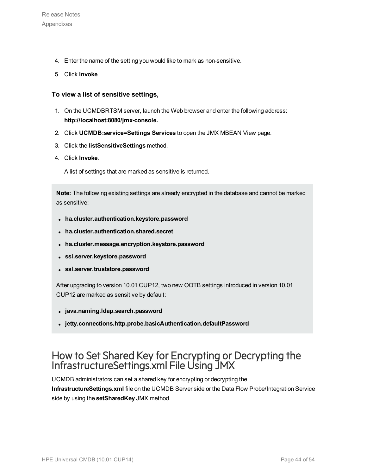- 4. Enter the name of the setting you would like to mark as non-sensitive.
- 5. Click **Invoke**.

#### **To view a list of sensitive settings,**

- 1. On the UCMDBRTSM server, launch the Web browser and enter the following address: **http://localhost:8080/jmx-console.**
- 2. Click **UCMDB:service=Settings Services** to open the JMX MBEAN View page.
- 3. Click the **listSensitiveSettings** method.
- 4. Click **Invoke**.

A list of settings that are marked as sensitive is returned.

**Note:** The following existing settings are already encrypted in the database and cannot be marked as sensitive:

- <sup>l</sup> **ha.cluster.authentication.keystore.password**
- <sup>l</sup> **ha.cluster.authentication.shared.secret**
- **ha.cluster.message.encryption.keystore.password**
- <sup>l</sup> **ssl.server.keystore.password**
- <sup>l</sup> **ssl.server.truststore.password**

After upgrading to version 10.01 CUP12, two new OOTB settings introduced in version 10.01 CUP12 are marked as sensitive by default:

- <sup>l</sup> **java.naming.ldap.search.password**
- <sup>l</sup> **jetty.connections.http.probe.basicAuthentication.defaultPassword**

### <span id="page-43-0"></span>How to Set Shared Key for Encrypting or Decrypting the InfrastructureSettings.xml File Using JMX

UCMDB administrators can set a shared key for encrypting or decrypting the **InfrastructureSettings.xml** file on the UCMDB Server side or the Data Flow Probe/Integration Service side by using the **setSharedKey** JMX method.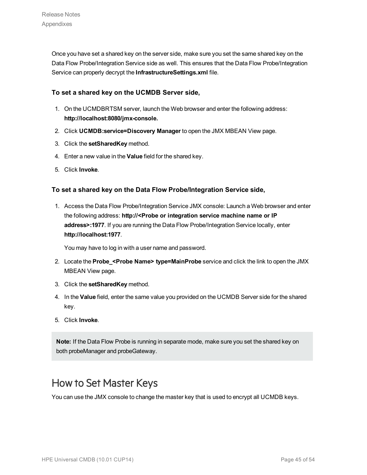Once you have set a shared key on the server side, make sure you set the same shared key on the Data Flow Probe/Integration Service side as well. This ensures that the Data Flow Probe/Integration Service can properly decrypt the **InfrastructureSettings.xml** file.

### **To set a shared key on the UCMDB Server side,**

- 1. On the UCMDBRTSM server, launch the Web browser and enter the following address: **http://localhost:8080/jmx-console.**
- 2. Click **UCMDB:service=Discovery Manager** to open the JMX MBEAN View page.
- 3. Click the **setSharedKey** method.
- 4. Enter a new value in the **Value** field for the shared key.
- 5. Click **Invoke**.

### **To set a shared key on the Data Flow Probe/Integration Service side,**

1. Access the Data Flow Probe/Integration Service JMX console: Launch a Web browser and enter the following address: **http://<Probe or integration service machine name or IP address>:1977**. If you are running the Data Flow Probe/Integration Service locally, enter **http://localhost:1977**.

You may have to log in with a user name and password.

- 2. Locate the **Probe\_<Probe Name> type=MainProbe** service and click the link to open the JMX MBEAN View page.
- 3. Click the **setSharedKey** method.
- 4. In the **Value** field, enter the same value you provided on the UCMDB Server side for the shared key.
- 5. Click **Invoke**.

**Note:** If the Data Flow Probe is running in separate mode, make sure you set the shared key on both probeManager and probeGateway.

### <span id="page-44-0"></span>How to Set Master Keys

You can use the JMX console to change the master key that is used to encrypt all UCMDB keys.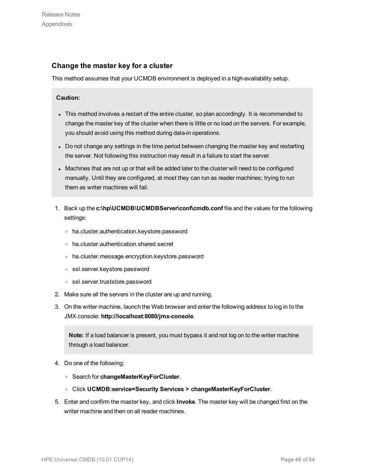### <span id="page-45-0"></span>**Change the master key for a cluster**

This method assumes that your UCMDB environment is deployed in a high-availability setup.

#### **Caution:**

- This method involves a restart of the entire cluster, so plan accordingly. It is recommended to change the master key of the cluster when there is little or no load on the servers. For example, you should avoid using this method during data-in operations.
- Do not change any settings in the time period between changing the master key and restarting the server. Not following this instruction may result in a failure to start the server.
- Machines that are not up or that will be added later to the cluster will need to be configured manually. Until they are configured, at most they can run as reader machines; trying to run them as writer machines will fail.
- 1. Back up the **c:\hp\UCMDB\UCMDBServer\conf\cmdb.conf** file and the values for the following settings:
	- <sup>o</sup> ha.cluster.authentication.keystore.password
	- <sup>o</sup> ha.cluster.authentication.shared.secret
	- <sup>o</sup> ha.cluster.message.encryption.keystore.password
	- <sup>o</sup> ssl.server.keystore.password
	- <sup>o</sup> ssl.server.truststore.password
- 2. Make sure all the servers in the cluster are up and running.
- 3. On the writer machine, launch the Web browser and enter the following address to log in to the JMX console: **http://localhost:8080/jmx-console**.

**Note:** If a load balancer is present, you must bypass it and not log on to the writer machine through a load balancer.

- 4. Do one of the following:
	- <sup>o</sup> Search for **changeMasterKeyForCluster**.
	- <sup>o</sup> Click **UCMDB:service=Security Services > changeMasterKeyForCluster**.
- 5. Enter and confirm the master key, and click **Invoke**. The master key will be changed first on the writer machine and then on all reader machines.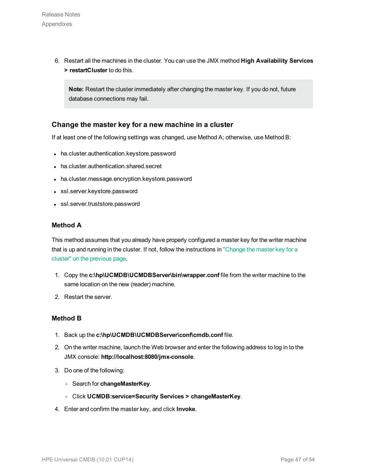6. Restart all the machines in the cluster. You can use the JMX method **High Availability Services > restartCluster** to do this.

**Note:** Restart the cluster immediately after changing the master key. If you do not, future database connections may fail.

### **Change the master key for a new machine in a cluster**

If at least one of the following settings was changed, use Method A; otherwise, use Method B:

- ha.cluster.authentication.keystore.password
- ha.cluster.authentication.shared.secret
- ha.cluster.message.encryption.keystore.password
- ssl.server.keystore.password
- ssl.server.truststore.password

#### **Method A**

This method assumes that you already have properly configured a master key for the writer machine that is up and running in the cluster. If not, follow the instructions in ["Change](#page-45-0) the master key for a cluster" on the [previous](#page-45-0) page.

- 1. Copy the **c:\hp\UCMDB\UCMDBServer\bin\wrapper.conf** file from the writer machine to the same location on the new (reader) machine.
- 2. Restart the server.

#### **Method B**

- 1. Back up the **c:\hp\UCMDB\UCMDBServer\conf\cmdb.conf** file.
- 2. On the writer machine, launch the Web browser and enter the following address to log in to the JMX console: **http://localhost:8080/jmx-console**.
- 3. Do one of the following:
	- <sup>o</sup> Search for **changeMasterKey**.
	- <sup>o</sup> Click **UCMDB:service=Security Services > changeMasterKey**.
- 4. Enter and confirm the master key, and click **Invoke**.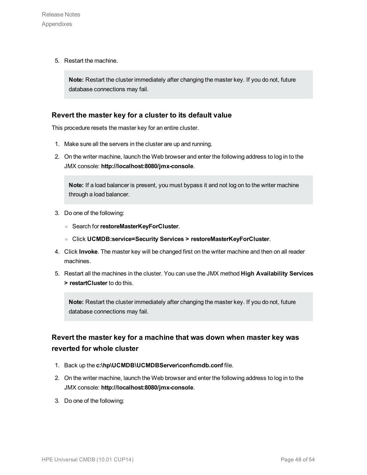5. Restart the machine.

**Note:** Restart the cluster immediately after changing the master key. If you do not, future database connections may fail.

### **Revert the master key for a cluster to its default value**

This procedure resets the master key for an entire cluster.

- 1. Make sure all the servers in the cluster are up and running.
- 2. On the writer machine, launch the Web browser and enter the following address to log in to the JMX console: **http://localhost:8080/jmx-console**.

**Note:** If a load balancer is present, you must bypass it and not log on to the writer machine through a load balancer.

- 3. Do one of the following:
	- <sup>o</sup> Search for**restoreMasterKeyForCluster**.
	- <sup>o</sup> Click **UCMDB:service=Security Services > restoreMasterKeyForCluster**.
- 4. Click **Invoke**. The master key will be changed first on the writer machine and then on all reader machines.
- 5. Restart all the machines in the cluster. You can use the JMX method **High Availability Services > restartCluster** to do this.

**Note:** Restart the cluster immediately after changing the master key. If you do not, future database connections may fail.

### **Revert the master key for a machine that was down when master key was reverted for whole cluster**

- 1. Back up the **c:\hp\UCMDB\UCMDBServer\conf\cmdb.conf** file.
- 2. On the writer machine, launch the Web browser and enter the following address to log in to the JMX console: **http://localhost:8080/jmx-console**.
- 3. Do one of the following: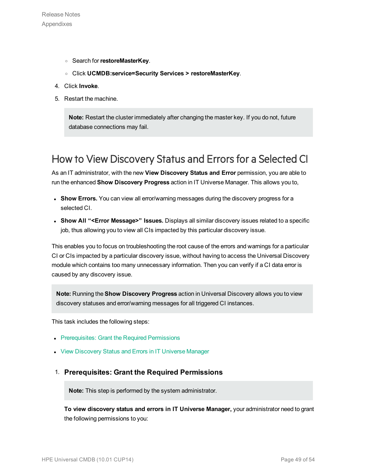- <sup>o</sup> Search for**restoreMasterKey**.
- <sup>o</sup> Click **UCMDB:service=Security Services > restoreMasterKey**.
- 4. Click **Invoke**.
- 5. Restart the machine.

**Note:** Restart the cluster immediately after changing the master key. If you do not, future database connections may fail.

### <span id="page-48-0"></span>How to View Discovery Status and Errors for a Selected CI

As an IT administrator, with the new **View Discovery Status and Error** permission, you are able to run the enhanced **Show Discovery Progress** action in IT Universe Manager. This allows you to,

- **Show Errors.** You can view all error/warning messages during the discovery progress for a selected CI.
- <sup>l</sup> **Show All "<Error Message>" Issues.** Displays all similar discovery issues related to a specific job, thus allowing you to view all CIs impacted by this particular discovery issue.

This enables you to focus on troubleshooting the root cause of the errors and warnings for a particular CI or CIs impacted by a particular discovery issue, without having to access the Universal Discovery module which contains too many unnecessary information. Then you can verify if a CI data error is caused by any discovery issue.

**Note:** Running the **Show Discovery Progress** action in Universal Discovery allows you to view discovery statuses and error/warning messages for all triggered CI instances.

This task includes the following steps:

- [Prerequisites:](#page-48-1) Grant the Required Permissions
- <span id="page-48-1"></span>• View [Discovery](#page-49-0) Status and Errors in IT Universe Manager

### 1. **Prerequisites: Grant the Required Permissions**

**Note:** This step is performed by the system administrator.

**To view discovery status and errors in IT Universe Manager,** your administrator need to grant the following permissions to you: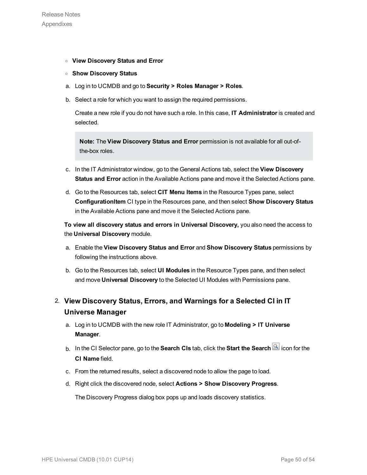- <sup>o</sup> **View Discovery Status and Error**
- <sup>o</sup> **Show Discovery Status**
- a. Log in to UCMDB and go to **Security > Roles Manager > Roles**.
- b. Select a role for which you want to assign the required permissions.

Create a new role if you do not have such a role. In this case, **IT Administrator** is created and selected.

**Note:** The **View Discovery Status and Error** permission is not available for all out-ofthe-box roles.

- c. In the IT Administrator window, go to the General Actions tab, select the **View Discovery Status and Error** action in the Available Actions pane and move it the Selected Actions pane.
- d. Go to the Resources tab, select **CIT Menu Items** in the Resource Types pane, select **ConfigurationItem** CI type in the Resources pane, and then select **Show Discovery Status** in the Available Actions pane and move it the Selected Actions pane.

**To view all discovery status and errors in Universal Discovery,** you also need the access to the **Universal Discovery** module.

- a. Enable the **View Discovery Status and Error** and **Show Discovery Status** permissions by following the instructions above.
- b. Go to the Resources tab, select **UI Modules** in the Resource Types pane, and then select and move **Universal Discovery** to the Selected UI Modules with Permissions pane.

### <span id="page-49-0"></span>2. **View Discovery Status, Errors, and Warnings for a Selected CI in IT Universe Manager**

- a. Log in to UCMDB with the new role IT Administrator, go to **Modeling > IT Universe Manager**.
- b. In the CI Selector pane, go to the **Search CIs** tab, click the **Start the Search** icon for the **CI Name** field.
- c. From the returned results, select a discovered node to allow the page to load.
- d. Right click the discovered node, select **Actions > Show Discovery Progress**.

The Discovery Progress dialog box pops up and loads discovery statistics.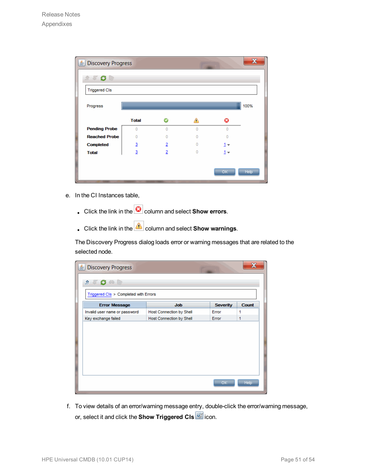|   | ◬ |       | 100% |
|---|---|-------|------|
|   |   |       |      |
|   |   |       |      |
|   |   |       |      |
|   |   | Q     |      |
| o | o | o     |      |
| n | Ō |       |      |
| 2 | O | $1 -$ |      |
| 2 | o | $1 -$ |      |
|   |   |       | OK   |

- e. In the CI Instances table,
	- **.** Click the link in the **C** column and select **Show errors**.
	- **c** Click the link in the **column** and select **Show warnings**.

The Discovery Progress dialog loads error or warning messages that are related to the selected node.

| <b>台 Discovery Progress</b>                                                                                                                                                                                                                                                                                                                         |                                 |                 |                   |
|-----------------------------------------------------------------------------------------------------------------------------------------------------------------------------------------------------------------------------------------------------------------------------------------------------------------------------------------------------|---------------------------------|-----------------|-------------------|
| $\begin{picture}(150,10) \put(0,0){\line(1,0){10}} \put(15,0){\line(1,0){10}} \put(15,0){\line(1,0){10}} \put(15,0){\line(1,0){10}} \put(15,0){\line(1,0){10}} \put(15,0){\line(1,0){10}} \put(15,0){\line(1,0){10}} \put(15,0){\line(1,0){10}} \put(15,0){\line(1,0){10}} \put(15,0){\line(1,0){10}} \put(15,0){\line(1,0){10}} \put(15,0){\line($ |                                 |                 |                   |
| Triggered CIs > Completed with Errors                                                                                                                                                                                                                                                                                                               |                                 |                 |                   |
| <b>Error Message</b>                                                                                                                                                                                                                                                                                                                                | <b>Job</b>                      | <b>Severity</b> | <b>Count</b>      |
| Invalid user name or password                                                                                                                                                                                                                                                                                                                       | <b>Host Connection by Shell</b> | Error           | 1                 |
| Key exchange failed                                                                                                                                                                                                                                                                                                                                 | Host Connection by Shell        | Error           | 1                 |
|                                                                                                                                                                                                                                                                                                                                                     |                                 |                 |                   |
|                                                                                                                                                                                                                                                                                                                                                     |                                 | OK-             | Help <sup>1</sup> |

f. To view details of an error/warning message entry, double-click the error/warning message, or, select it and click the **Show Triggered CIs** icon.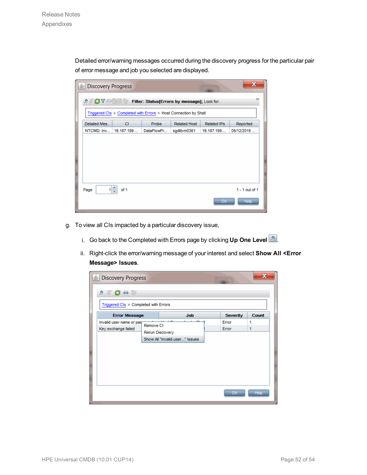Detailed error/warning messages occurred during the discovery progress for the particular pair of error message and job you selected are displayed.

| <b>Discovery Progress</b><br>흐                                                                                          |            |            |                     |                    |                                 |  |  |  |  |
|-------------------------------------------------------------------------------------------------------------------------|------------|------------|---------------------|--------------------|---------------------------------|--|--|--|--|
| $\rightarrow$<br>$\Lambda$ , $\mathbf{G}$ $\mathbf{Y}$ and $\mathbf{C}$<br>Filter: Status[Errors by message]; Look for: |            |            |                     |                    |                                 |  |  |  |  |
| Triggered CIs > Completed with Errors > Host Connection by Shell                                                        |            |            |                     |                    |                                 |  |  |  |  |
| Detailed Mes                                                                                                            | CI.        | Probe      | <b>Related Host</b> | <b>Related IPs</b> | Reported                        |  |  |  |  |
| NTCMD: Inv                                                                                                              | 16.187.189 | DataFlowPr | sqdlitvm0351        | 16.187.189         | 05/12/2015                      |  |  |  |  |
|                                                                                                                         |            |            |                     |                    |                                 |  |  |  |  |
| Page                                                                                                                    | ÷<br>of 1  |            |                     | OK.                | $1 - 1$ out of 1<br><b>Help</b> |  |  |  |  |

- g. To view all CIs impacted by a particular discovery issue,
	- i. Go back to the Completed with Errors page by clicking Up One Level  $\boxed{2r}$ .
	- ii. Right-click the error/warning message of your interest and select **Show All <Error Message> Issues**.

| Discovery Progress<br>$1 + 1 - 1$<br>Triggered CIs > Completed with Errors |           |                                                   |                 |              |
|----------------------------------------------------------------------------|-----------|---------------------------------------------------|-----------------|--------------|
| <b>Error Message</b>                                                       |           | <b>Job</b>                                        | <b>Severity</b> | <b>Count</b> |
| Invalid user name or pas-<br>Key exchange failed                           | Remove CI | Rerun Discovery<br>Show All "Invalid user" Issues | Error<br>Error  | 1<br>1       |
|                                                                            |           |                                                   | OK              | Help         |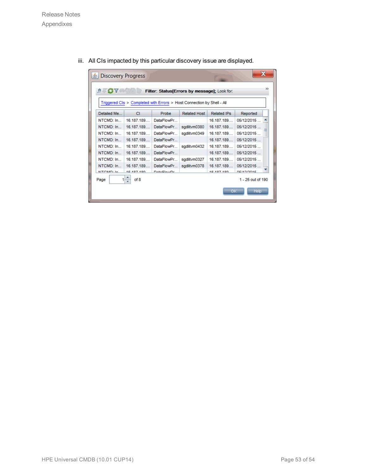iii. All CIs impacted by this particular discovery issue are displayed.

| <b>Discovery Progress</b><br>호<br>$\Lambda$ $\sigma$ $\sim$ $\sim$ $\sim$ |            | Filter: Status[Errors by message]; Look for:<br>Triggered CIs > Completed with Errors > Host Connection by Shell - All |                     |                    |                   | х<br>> |
|---------------------------------------------------------------------------|------------|------------------------------------------------------------------------------------------------------------------------|---------------------|--------------------|-------------------|--------|
| Detailed Me                                                               | CI.        | Probe                                                                                                                  | <b>Related Host</b> | <b>Related IPs</b> | Reported          |        |
| NTCMD: In                                                                 | 16.187.189 | DataFlowPr                                                                                                             |                     | 16.187.189         | 05/12/2015        |        |
| NTCMD: In                                                                 | 16.187.189 | DataFlowPr                                                                                                             | sqdlitvm0380        | 16.187.189         | 05/12/2015        |        |
| NTCMD: In                                                                 | 16.187.189 | DataFlowPr                                                                                                             | sgdlitvm0349        | 16.187.189         | 05/12/2015        |        |
| NTCMD: In                                                                 | 16.187.189 | DataFlowPr                                                                                                             |                     | 16.187.189         | 05/12/2015        |        |
| NTCMD: In                                                                 | 16.187.189 | DataFlowPr                                                                                                             | sqdlitvm0432        | 16 187 189         | 05/12/2015        |        |
| NTCMD: In                                                                 | 16.187.189 | DataFlowPr                                                                                                             |                     | 16.187.189         | 05/12/2015        |        |
| NTCMD: In                                                                 | 16.187.189 | DataFlowPr                                                                                                             | sgdlitvm0327        | 16.187.189         | 05/12/2015        |        |
| NTCMD: In                                                                 | 16.187.189 | DataFlowPr                                                                                                             | sqdlitvm0378        | 16.187.189         | 05/12/2015        |        |
| <b>NITCHAD-16</b>                                                         | 40-407-400 | DataFlought                                                                                                            |                     | 40.497.490         | <b>DEMOMORE</b>   |        |
| 11<br>Page                                                                | of 8<br>Ψ  |                                                                                                                        |                     |                    | 1 - 25 out of 190 |        |
|                                                                           |            |                                                                                                                        |                     | ОK                 | <b>Help</b>       |        |